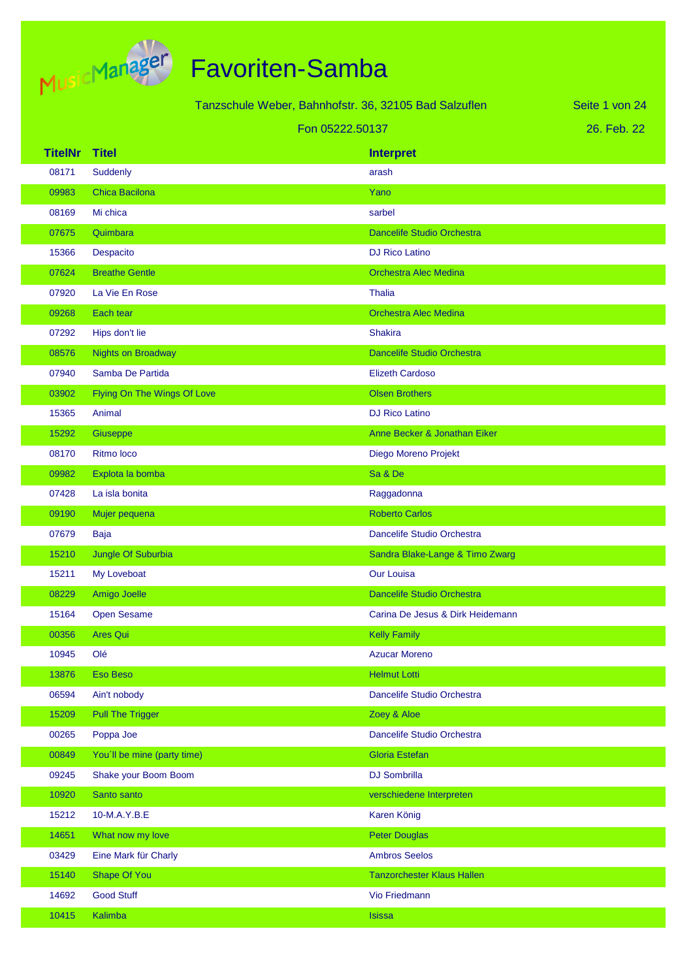

Tanzschule Weber, Bahnhofstr. 36, 32105 Bad Salzuflen

Seite 1 von 24

#### Fon 05222.50137

26. Feb. 22

| <b>TitelNr</b> | <b>Titel</b>                | <b>Interpret</b>                  |
|----------------|-----------------------------|-----------------------------------|
| 08171          | Suddenly                    | arash                             |
| 09983          | <b>Chica Bacilona</b>       | Yano                              |
| 08169          | Mi chica                    | sarbel                            |
| 07675          | Quimbara                    | <b>Dancelife Studio Orchestra</b> |
| 15366          | Despacito                   | <b>DJ Rico Latino</b>             |
| 07624          | <b>Breathe Gentle</b>       | <b>Orchestra Alec Medina</b>      |
| 07920          | La Vie En Rose              | <b>Thalia</b>                     |
| 09268          | Each tear                   | <b>Orchestra Alec Medina</b>      |
| 07292          | Hips don't lie              | <b>Shakira</b>                    |
| 08576          | <b>Nights on Broadway</b>   | <b>Dancelife Studio Orchestra</b> |
| 07940          | Samba De Partida            | <b>Elizeth Cardoso</b>            |
| 03902          | Flying On The Wings Of Love | <b>Olsen Brothers</b>             |
| 15365          | Animal                      | <b>DJ Rico Latino</b>             |
| 15292          | Giuseppe                    | Anne Becker & Jonathan Eiker      |
| 08170          | Ritmo loco                  | Diego Moreno Projekt              |
| 09982          | Explota la bomba            | Sa & De                           |
| 07428          | La isla bonita              | Raggadonna                        |
| 09190          | Mujer pequena               | <b>Roberto Carlos</b>             |
| 07679          | Baja                        | Dancelife Studio Orchestra        |
| 15210          | Jungle Of Suburbia          | Sandra Blake-Lange & Timo Zwarg   |
| 15211          | My Loveboat                 | <b>Our Louisa</b>                 |
| 08229          | Amigo Joelle                | <b>Dancelife Studio Orchestra</b> |
| 15164          | <b>Open Sesame</b>          | Carina De Jesus & Dirk Heidemann  |
| 00356          | <b>Ares Qui</b>             | <b>Kelly Family</b>               |
| 10945          | Olé                         | <b>Azucar Moreno</b>              |
| 13876          | <b>Eso Beso</b>             | <b>Helmut Lotti</b>               |
| 06594          | Ain't nobody                | Dancelife Studio Orchestra        |
| 15209          | <b>Pull The Trigger</b>     | Zoey & Aloe                       |
| 00265          | Poppa Joe                   | Dancelife Studio Orchestra        |
| 00849          | You'll be mine (party time) | <b>Gloria Estefan</b>             |
| 09245          | Shake your Boom Boom        | <b>DJ Sombrilla</b>               |
| 10920          | Santo santo                 | verschiedene Interpreten          |
| 15212          | 10-M.A.Y.B.E                | Karen König                       |
| 14651          | What now my love            | <b>Peter Douglas</b>              |
| 03429          | Eine Mark für Charly        | <b>Ambros Seelos</b>              |
| 15140          | Shape Of You                | <b>Tanzorchester Klaus Hallen</b> |
| 14692          | <b>Good Stuff</b>           | Vio Friedmann                     |
| 10415          | Kalimba                     | <b>Isissa</b>                     |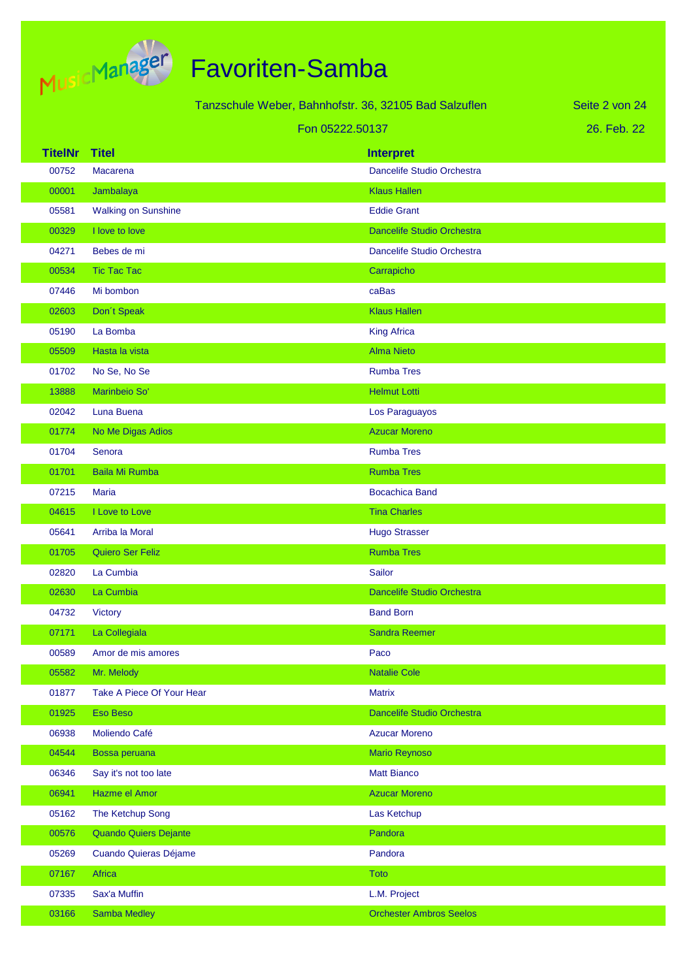

|                |                              | Tanzschule Weber, Bahnhofstr. 36, 32105 Bad Salzuflen |                                   | Seite 2 von 24 |
|----------------|------------------------------|-------------------------------------------------------|-----------------------------------|----------------|
|                |                              | Fon 05222.50137                                       |                                   | 26. Feb. 22    |
| <b>TitelNr</b> | <b>Titel</b>                 |                                                       | <b>Interpret</b>                  |                |
| 00752          | Macarena                     |                                                       | Dancelife Studio Orchestra        |                |
| 00001          | Jambalaya                    |                                                       | <b>Klaus Hallen</b>               |                |
| 05581          | <b>Walking on Sunshine</b>   |                                                       | <b>Eddie Grant</b>                |                |
| 00329          | I love to love               |                                                       | <b>Dancelife Studio Orchestra</b> |                |
| 04271          | Bebes de mi                  |                                                       | Dancelife Studio Orchestra        |                |
| 00534          | <b>Tic Tac Tac</b>           |                                                       | Carrapicho                        |                |
| 07446          | Mi bombon                    |                                                       | caBas                             |                |
| 02603          | Don't Speak                  |                                                       | <b>Klaus Hallen</b>               |                |
| 05190          | La Bomba                     |                                                       | <b>King Africa</b>                |                |
| 05509          | Hasta la vista               |                                                       | <b>Alma Nieto</b>                 |                |
| 01702          | No Se, No Se                 |                                                       | <b>Rumba Tres</b>                 |                |
| 13888          | Marinbeio So'                |                                                       | <b>Helmut Lotti</b>               |                |
| 02042          | Luna Buena                   |                                                       | Los Paraguayos                    |                |
| 01774          | No Me Digas Adios            |                                                       | <b>Azucar Moreno</b>              |                |
| 01704          | Senora                       |                                                       | <b>Rumba Tres</b>                 |                |
| 01701          | <b>Baila Mi Rumba</b>        |                                                       | <b>Rumba Tres</b>                 |                |
| 07215          | <b>Maria</b>                 |                                                       | <b>Bocachica Band</b>             |                |
| 04615          | I Love to Love               |                                                       | <b>Tina Charles</b>               |                |
| 05641          | Arriba la Moral              |                                                       | <b>Hugo Strasser</b>              |                |
| 01705          | Quiero Ser Feliz             |                                                       | <b>Rumba Tres</b>                 |                |
| 02820          | La Cumbia                    |                                                       | Sailor                            |                |
| 02630          | La Cumbia                    |                                                       | Dancelife Studio Orchestra        |                |
| 04732          | <b>Victory</b>               |                                                       | <b>Band Born</b>                  |                |
| 07171          | La Collegiala                |                                                       | <b>Sandra Reemer</b>              |                |
| 00589          | Amor de mis amores           |                                                       | Paco                              |                |
| 05582          | Mr. Melody                   |                                                       | <b>Natalie Cole</b>               |                |
| 01877          | Take A Piece Of Your Hear    |                                                       | <b>Matrix</b>                     |                |
| 01925          | Eso Beso                     |                                                       | Dancelife Studio Orchestra        |                |
| 06938          | Moliendo Café                |                                                       | <b>Azucar Moreno</b>              |                |
| 04544          | Bossa peruana                |                                                       | <b>Mario Reynoso</b>              |                |
| 06346          | Say it's not too late        |                                                       | <b>Matt Bianco</b>                |                |
| 06941          | Hazme el Amor                |                                                       | <b>Azucar Moreno</b>              |                |
| 05162          | The Ketchup Song             |                                                       | Las Ketchup                       |                |
| 00576          | <b>Quando Quiers Dejante</b> |                                                       | Pandora                           |                |
| 05269          | Cuando Quieras Déjame        |                                                       | Pandora                           |                |
| 07167          | Africa                       |                                                       | Toto                              |                |
| 07335          | Sax'a Muffin                 |                                                       | L.M. Project                      |                |
| 03166          | Samba Medley                 |                                                       | <b>Orchester Ambros Seelos</b>    |                |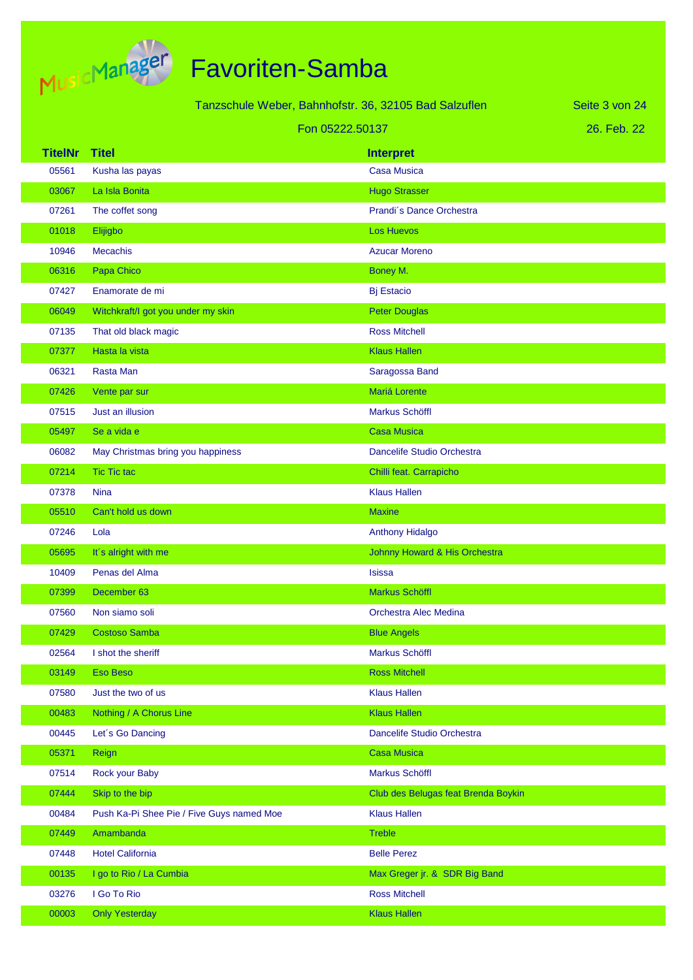

|                 |                                           | Tanzschule Weber, Bahnhofstr. 36, 32105 Bad Salzuflen | Seite 3 von 24 |
|-----------------|-------------------------------------------|-------------------------------------------------------|----------------|
| Fon 05222.50137 |                                           |                                                       | 26. Feb. 22    |
| <b>TitelNr</b>  | <b>Titel</b>                              | <b>Interpret</b>                                      |                |
| 05561           | Kusha las payas                           | Casa Musica                                           |                |
| 03067           | La Isla Bonita                            | <b>Hugo Strasser</b>                                  |                |
| 07261           | The coffet song                           | Prandi's Dance Orchestra                              |                |
| 01018           | Elijigbo                                  | <b>Los Huevos</b>                                     |                |
| 10946           | <b>Mecachis</b>                           | <b>Azucar Moreno</b>                                  |                |
| 06316           | Papa Chico                                | Boney M.                                              |                |
| 07427           | Enamorate de mi                           | <b>Bj Estacio</b>                                     |                |
| 06049           | Witchkraft/I got you under my skin        | <b>Peter Douglas</b>                                  |                |
| 07135           | That old black magic                      | <b>Ross Mitchell</b>                                  |                |
| 07377           | Hasta la vista                            | <b>Klaus Hallen</b>                                   |                |
| 06321           | Rasta Man                                 | Saragossa Band                                        |                |
| 07426           | Vente par sur                             | Mariá Lorente                                         |                |
| 07515           | Just an illusion                          | Markus Schöffl                                        |                |
| 05497           | Se a vida e                               | <b>Casa Musica</b>                                    |                |
| 06082           | May Christmas bring you happiness         | Dancelife Studio Orchestra                            |                |
| 07214           | <b>Tic Tic tac</b>                        | Chilli feat. Carrapicho                               |                |
| 07378           | <b>Nina</b>                               | <b>Klaus Hallen</b>                                   |                |
| 05510           | Can't hold us down                        | <b>Maxine</b>                                         |                |
| 07246           | Lola                                      | <b>Anthony Hidalgo</b>                                |                |
| 05695           | It's alright with me                      | Johnny Howard & His Orchestra                         |                |
| 10409           | Penas del Alma                            | <b>Isissa</b>                                         |                |
| 07399           | December 63                               | <b>Markus Schöffl</b>                                 |                |
| 07560           | Non siamo soli                            | Orchestra Alec Medina                                 |                |
| 07429           | <b>Costoso Samba</b>                      | <b>Blue Angels</b>                                    |                |
| 02564           | I shot the sheriff                        | <b>Markus Schöffl</b>                                 |                |
| 03149           | <b>Eso Beso</b>                           | <b>Ross Mitchell</b>                                  |                |
| 07580           | Just the two of us                        | <b>Klaus Hallen</b>                                   |                |
| 00483           | Nothing / A Chorus Line                   | <b>Klaus Hallen</b>                                   |                |
| 00445           | Let's Go Dancing                          | Dancelife Studio Orchestra                            |                |
| 05371           | Reign                                     | <b>Casa Musica</b>                                    |                |
| 07514           | Rock your Baby                            | Markus Schöffl                                        |                |
| 07444           | Skip to the bip                           | Club des Belugas feat Brenda Boykin                   |                |
| 00484           | Push Ka-Pi Shee Pie / Five Guys named Moe | <b>Klaus Hallen</b>                                   |                |
| 07449           | Amambanda                                 | <b>Treble</b>                                         |                |
| 07448           | <b>Hotel California</b>                   | <b>Belle Perez</b>                                    |                |
| 00135           | I go to Rio / La Cumbia                   | Max Greger jr. & SDR Big Band                         |                |
| 03276           | I Go To Rio                               | <b>Ross Mitchell</b>                                  |                |
| 00003           | <b>Only Yesterday</b>                     | <b>Klaus Hallen</b>                                   |                |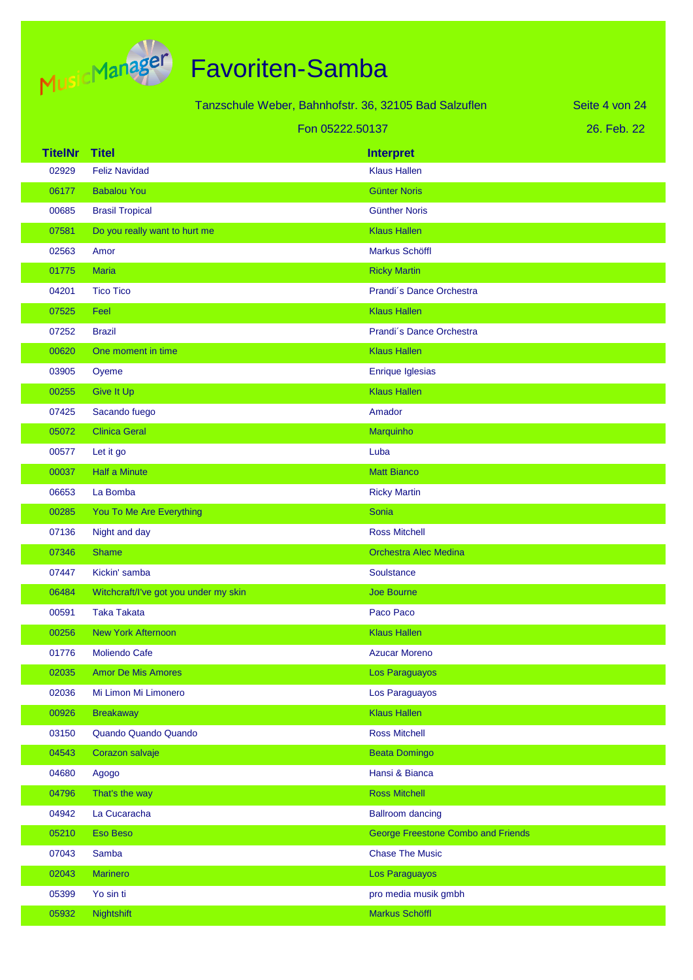

| Tanzschule Weber, Bahnhofstr. 36, 32105 Bad Salzuflen |                                       |                                           | Seite 4 von 24 |
|-------------------------------------------------------|---------------------------------------|-------------------------------------------|----------------|
|                                                       |                                       | Fon 05222.50137                           | 26. Feb. 22    |
| <b>TitelNr</b>                                        | <b>Titel</b>                          | <b>Interpret</b>                          |                |
| 02929                                                 | <b>Feliz Navidad</b>                  | <b>Klaus Hallen</b>                       |                |
| 06177                                                 | <b>Babalou You</b>                    | <b>Günter Noris</b>                       |                |
| 00685                                                 | <b>Brasil Tropical</b>                | <b>Günther Noris</b>                      |                |
| 07581                                                 | Do you really want to hurt me         | <b>Klaus Hallen</b>                       |                |
| 02563                                                 | Amor                                  | Markus Schöffl                            |                |
| 01775                                                 | <b>Maria</b>                          | <b>Ricky Martin</b>                       |                |
| 04201                                                 | <b>Tico Tico</b>                      | Prandi's Dance Orchestra                  |                |
| 07525                                                 | Feel                                  | <b>Klaus Hallen</b>                       |                |
| 07252                                                 | <b>Brazil</b>                         | Prandi's Dance Orchestra                  |                |
| 00620                                                 | One moment in time                    | <b>Klaus Hallen</b>                       |                |
| 03905                                                 | Oyeme                                 | Enrique Iglesias                          |                |
| 00255                                                 | <b>Give It Up</b>                     | <b>Klaus Hallen</b>                       |                |
| 07425                                                 | Sacando fuego                         | Amador                                    |                |
| 05072                                                 | <b>Clinica Geral</b>                  | Marquinho                                 |                |
| 00577                                                 | Let it go                             | Luba                                      |                |
| 00037                                                 | <b>Half a Minute</b>                  | <b>Matt Bianco</b>                        |                |
| 06653                                                 | La Bomba                              | <b>Ricky Martin</b>                       |                |
| 00285                                                 | You To Me Are Everything              | <b>Sonia</b>                              |                |
| 07136                                                 | Night and day                         | <b>Ross Mitchell</b>                      |                |
| 07346                                                 | <b>Shame</b>                          | <b>Orchestra Alec Medina</b>              |                |
| 07447                                                 | Kickin' samba                         | Soulstance                                |                |
| 06484                                                 | Witchcraft/I've got you under my skin | <b>Joe Bourne</b>                         |                |
| 00591                                                 | <b>Taka Takata</b>                    | Paco Paco                                 |                |
| 00256                                                 | <b>New York Afternoon</b>             | <b>Klaus Hallen</b>                       |                |
| 01776                                                 | Moliendo Cafe                         | <b>Azucar Moreno</b>                      |                |
| 02035                                                 | <b>Amor De Mis Amores</b>             | Los Paraguayos                            |                |
| 02036                                                 | Mi Limon Mi Limonero                  | Los Paraguayos                            |                |
| 00926                                                 | <b>Breakaway</b>                      | <b>Klaus Hallen</b>                       |                |
| 03150                                                 | Quando Quando Quando                  | <b>Ross Mitchell</b>                      |                |
| 04543                                                 | Corazon salvaje                       | <b>Beata Domingo</b>                      |                |
| 04680                                                 | Agogo                                 | Hansi & Bianca                            |                |
| 04796                                                 | That's the way                        | <b>Ross Mitchell</b>                      |                |
| 04942                                                 | La Cucaracha                          | <b>Ballroom dancing</b>                   |                |
| 05210                                                 | <b>Eso Beso</b>                       | <b>George Freestone Combo and Friends</b> |                |
| 07043                                                 | Samba                                 | <b>Chase The Music</b>                    |                |
| 02043                                                 | <b>Marinero</b>                       | Los Paraguayos                            |                |
| 05399                                                 | Yo sin ti                             | pro media musik gmbh                      |                |
| 05932                                                 | Nightshift                            | Markus Schöffl                            |                |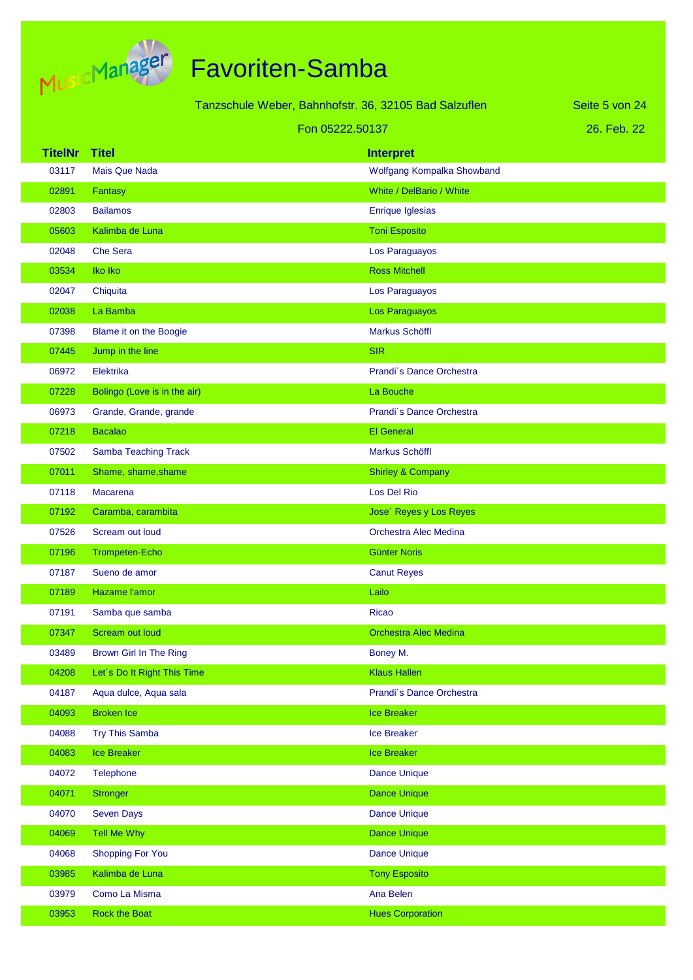

|                |                              | Tanzschule Weber, Bahnhofstr. 36, 32105 Bad Salzuflen | Seite 5 von 24 |
|----------------|------------------------------|-------------------------------------------------------|----------------|
|                |                              | Fon 05222.50137                                       | 26. Feb. 22    |
| <b>TitelNr</b> | <b>Titel</b>                 | <b>Interpret</b>                                      |                |
| 03117          | <b>Mais Que Nada</b>         | Wolfgang Kompalka Showband                            |                |
| 02891          | Fantasy                      | White / DelBario / White                              |                |
| 02803          | <b>Bailamos</b>              | Enrique Iglesias                                      |                |
| 05603          | Kalimba de Luna              | <b>Toni Esposito</b>                                  |                |
| 02048          | <b>Che Sera</b>              | Los Paraguayos                                        |                |
| 03534          | Iko Iko                      | <b>Ross Mitchell</b>                                  |                |
| 02047          | Chiquita                     | Los Paraguayos                                        |                |
| 02038          | La Bamba                     | Los Paraguayos                                        |                |
| 07398          | Blame it on the Boogie       | Markus Schöffl                                        |                |
| 07445          | Jump in the line             | <b>SIR</b>                                            |                |
| 06972          | Elektrika                    | Prandi's Dance Orchestra                              |                |
| 07228          | Bolingo (Love is in the air) | La Bouche                                             |                |
| 06973          | Grande, Grande, grande       | Prandi's Dance Orchestra                              |                |
| 07218          | <b>Bacalao</b>               | <b>El General</b>                                     |                |
| 07502          | Samba Teaching Track         | Markus Schöffl                                        |                |
| 07011          | Shame, shame, shame          | <b>Shirley &amp; Company</b>                          |                |
| 07118          | Macarena                     | Los Del Rio                                           |                |
| 07192          | Caramba, carambita           | Jose' Reyes y Los Reyes                               |                |
| 07526          | Scream out loud              | Orchestra Alec Medina                                 |                |
| 07196          | <b>Trompeten-Echo</b>        | <b>Günter Noris</b>                                   |                |
| 07187          | Sueno de amor                | <b>Canut Reyes</b>                                    |                |
| 07189          | Hazame l'amor                | Lailo                                                 |                |
| 07191          | Samba que samba              | <b>Ricao</b>                                          |                |
| 07347          | Scream out loud              | <b>Orchestra Alec Medina</b>                          |                |
| 03489          | Brown Girl In The Ring       | Boney M.                                              |                |
| 04208          | Let's Do It Right This Time  | <b>Klaus Hallen</b>                                   |                |
| 04187          | Aqua dulce, Aqua sala        | Prandi's Dance Orchestra                              |                |
| 04093          | <b>Broken Ice</b>            | <b>Ice Breaker</b>                                    |                |
| 04088          | <b>Try This Samba</b>        | Ice Breaker                                           |                |
| 04083          | <b>Ice Breaker</b>           | <b>Ice Breaker</b>                                    |                |
| 04072          | <b>Telephone</b>             | <b>Dance Unique</b>                                   |                |
| 04071          | Stronger                     | <b>Dance Unique</b>                                   |                |
| 04070          | <b>Seven Days</b>            | <b>Dance Unique</b>                                   |                |
| 04069          | Tell Me Why                  | <b>Dance Unique</b>                                   |                |
| 04068          | <b>Shopping For You</b>      | <b>Dance Unique</b>                                   |                |
| 03985          | Kalimba de Luna              | <b>Tony Esposito</b>                                  |                |
| 03979          | Como La Misma                | Ana Belen                                             |                |
| 03953          | Rock the Boat                | <b>Hues Corporation</b>                               |                |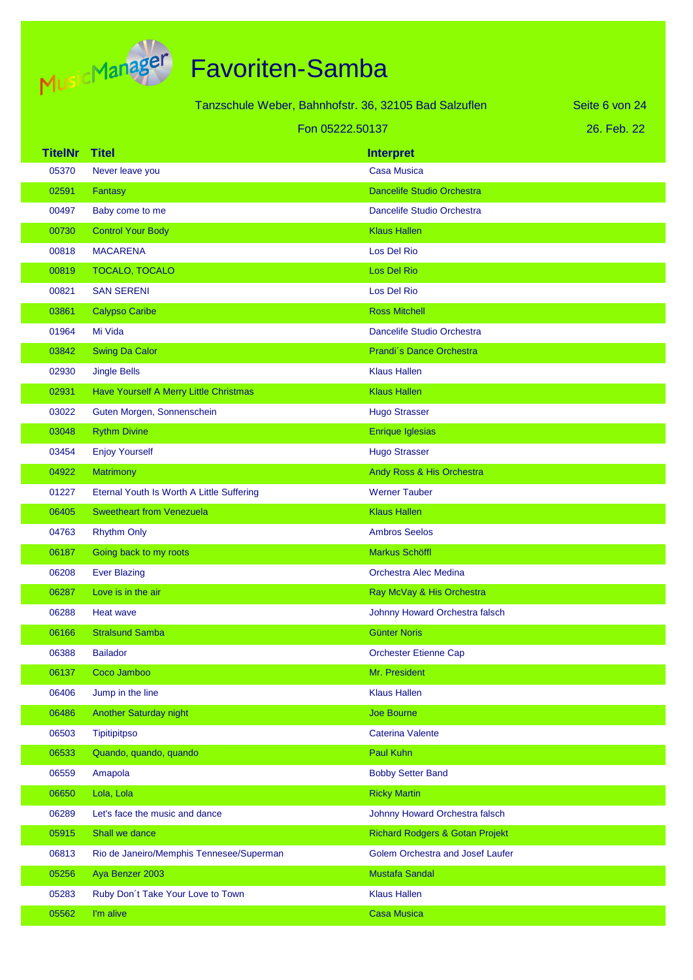

|                |                                           | Tanzschule Weber, Bahnhofstr. 36, 32105 Bad Salzuflen | Seite 6 von 24 |
|----------------|-------------------------------------------|-------------------------------------------------------|----------------|
|                | Fon 05222.50137                           |                                                       | 26. Feb. 22    |
| <b>TitelNr</b> | <b>Titel</b>                              | <b>Interpret</b>                                      |                |
| 05370          | Never leave you                           | <b>Casa Musica</b>                                    |                |
| 02591          | Fantasy                                   | <b>Dancelife Studio Orchestra</b>                     |                |
| 00497          | Baby come to me                           | Dancelife Studio Orchestra                            |                |
| 00730          | <b>Control Your Body</b>                  | <b>Klaus Hallen</b>                                   |                |
| 00818          | <b>MACARENA</b>                           | Los Del Rio                                           |                |
| 00819          | <b>TOCALO, TOCALO</b>                     | Los Del Rio                                           |                |
| 00821          | <b>SAN SERENI</b>                         | Los Del Rio                                           |                |
| 03861          | <b>Calypso Caribe</b>                     | <b>Ross Mitchell</b>                                  |                |
| 01964          | Mi Vida                                   | Dancelife Studio Orchestra                            |                |
| 03842          | <b>Swing Da Calor</b>                     | Prandi's Dance Orchestra                              |                |
| 02930          | <b>Jingle Bells</b>                       | <b>Klaus Hallen</b>                                   |                |
| 02931          | Have Yourself A Merry Little Christmas    | <b>Klaus Hallen</b>                                   |                |
| 03022          | Guten Morgen, Sonnenschein                | <b>Hugo Strasser</b>                                  |                |
| 03048          | <b>Rythm Divine</b>                       | <b>Enrique Iglesias</b>                               |                |
| 03454          | <b>Enjoy Yourself</b>                     | <b>Hugo Strasser</b>                                  |                |
| 04922          | <b>Matrimony</b>                          | Andy Ross & His Orchestra                             |                |
| 01227          | Eternal Youth Is Worth A Little Suffering | <b>Werner Tauber</b>                                  |                |
| 06405          | <b>Sweetheart from Venezuela</b>          | <b>Klaus Hallen</b>                                   |                |
| 04763          | <b>Rhythm Only</b>                        | <b>Ambros Seelos</b>                                  |                |
| 06187          | Going back to my roots                    | Markus Schöffl                                        |                |
| 06208          | <b>Ever Blazing</b>                       | Orchestra Alec Medina                                 |                |
| 06287          | Love is in the air                        | Ray McVay & His Orchestra                             |                |
| 06288          | Heat wave                                 | Johnny Howard Orchestra falsch                        |                |
| 06166          | <b>Stralsund Samba</b>                    | <b>Günter Noris</b>                                   |                |
| 06388          | <b>Bailador</b>                           | <b>Orchester Etienne Cap</b>                          |                |
| 06137          | Coco Jamboo                               | Mr. President                                         |                |
| 06406          | Jump in the line                          | <b>Klaus Hallen</b>                                   |                |
| 06486          | Another Saturday night                    | Joe Bourne                                            |                |
| 06503          | <b>Tipitipitpso</b>                       | <b>Caterina Valente</b>                               |                |
| 06533          | Quando, quando, quando                    | <b>Paul Kuhn</b>                                      |                |
| 06559          | Amapola                                   | <b>Bobby Setter Band</b>                              |                |
| 06650          | Lola, Lola                                | <b>Ricky Martin</b>                                   |                |
| 06289          | Let's face the music and dance            | Johnny Howard Orchestra falsch                        |                |
| 05915          | Shall we dance                            | <b>Richard Rodgers &amp; Gotan Projekt</b>            |                |
| 06813          | Rio de Janeiro/Memphis Tennesee/Superman  | Golem Orchestra and Josef Laufer                      |                |
| 05256          | Aya Benzer 2003                           | Mustafa Sandal                                        |                |
| 05283          | Ruby Don't Take Your Love to Town         | <b>Klaus Hallen</b>                                   |                |
| 05562          | I'm alive                                 | <b>Casa Musica</b>                                    |                |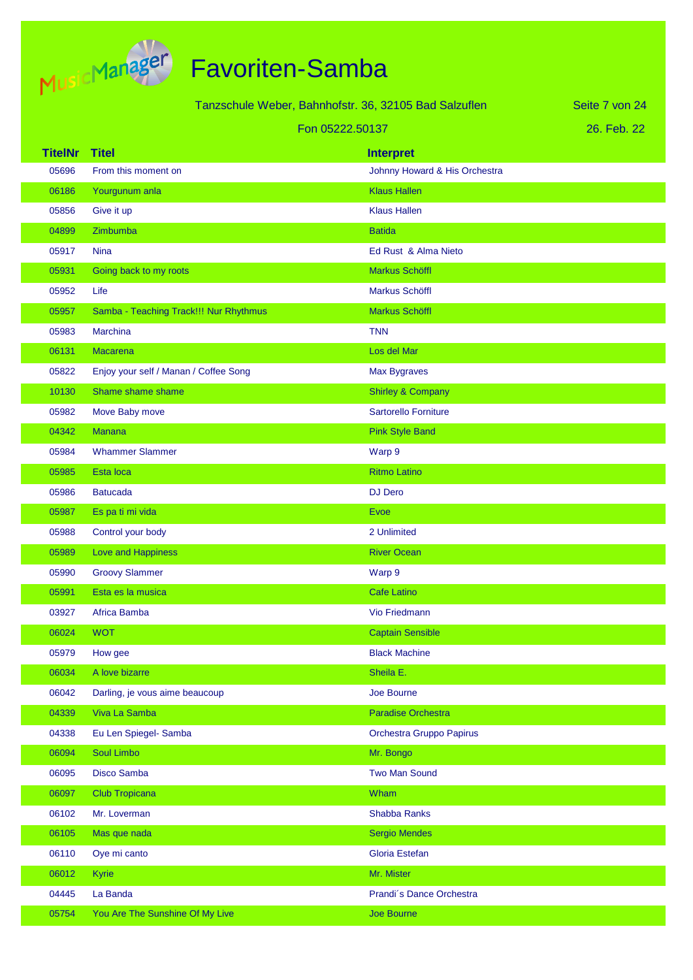

| Tanzschule Weber, Bahnhofstr. 36, 32105 Bad Salzuflen |                                        |                               | Seite 7 von 24 |
|-------------------------------------------------------|----------------------------------------|-------------------------------|----------------|
| Fon 05222.50137                                       |                                        |                               | 26. Feb. 22    |
| <b>TitelNr</b>                                        | <b>Titel</b>                           | <b>Interpret</b>              |                |
| 05696                                                 | From this moment on                    | Johnny Howard & His Orchestra |                |
| 06186                                                 | Yourgunum anla                         | <b>Klaus Hallen</b>           |                |
| 05856                                                 | Give it up                             | <b>Klaus Hallen</b>           |                |
| 04899                                                 | Zimbumba                               | <b>Batida</b>                 |                |
| 05917                                                 | <b>Nina</b>                            | Ed Rust & Alma Nieto          |                |
| 05931                                                 | Going back to my roots                 | <b>Markus Schöffl</b>         |                |
| 05952                                                 | Life                                   | <b>Markus Schöffl</b>         |                |
| 05957                                                 | Samba - Teaching Track!!! Nur Rhythmus | Markus Schöffl                |                |
| 05983                                                 | Marchina                               | <b>TNN</b>                    |                |
| 06131                                                 | <b>Macarena</b>                        | Los del Mar                   |                |
| 05822                                                 | Enjoy your self / Manan / Coffee Song  | <b>Max Bygraves</b>           |                |
| 10130                                                 | Shame shame shame                      | <b>Shirley &amp; Company</b>  |                |
| 05982                                                 | Move Baby move                         | <b>Sartorello Forniture</b>   |                |
| 04342                                                 | <b>Manana</b>                          | <b>Pink Style Band</b>        |                |
| 05984                                                 | <b>Whammer Slammer</b>                 | Warp 9                        |                |
| 05985                                                 | Esta loca                              | <b>Ritmo Latino</b>           |                |
| 05986                                                 | <b>Batucada</b>                        | <b>DJ Dero</b>                |                |
| 05987                                                 | Es pa ti mi vida                       | <b>Evoe</b>                   |                |
| 05988                                                 | Control your body                      | 2 Unlimited                   |                |
| 05989                                                 | Love and Happiness                     | <b>River Ocean</b>            |                |
| 05990                                                 | <b>Groovy Slammer</b>                  | Warp 9                        |                |
| 05991                                                 | Esta es la musica                      | <b>Cafe Latino</b>            |                |
| 03927                                                 | Africa Bamba                           | Vio Friedmann                 |                |
| 06024                                                 | <b>WOT</b>                             | <b>Captain Sensible</b>       |                |
| 05979                                                 | How gee                                | <b>Black Machine</b>          |                |
| 06034                                                 | A love bizarre                         | Sheila E.                     |                |
| 06042                                                 | Darling, je vous aime beaucoup         | Joe Bourne                    |                |
| 04339                                                 | Viva La Samba                          | Paradise Orchestra            |                |
| 04338                                                 | Eu Len Spiegel- Samba                  | Orchestra Gruppo Papirus      |                |
| 06094                                                 | Soul Limbo                             | Mr. Bongo                     |                |
| 06095                                                 | Disco Samba                            | <b>Two Man Sound</b>          |                |
| 06097                                                 | <b>Club Tropicana</b>                  | Wham                          |                |
| 06102                                                 | Mr. Loverman                           | Shabba Ranks                  |                |
| 06105                                                 | Mas que nada                           | <b>Sergio Mendes</b>          |                |
| 06110                                                 | Oye mi canto                           | Gloria Estefan                |                |
| 06012                                                 | Kyrie                                  | Mr. Mister                    |                |
| 04445                                                 | La Banda                               | Prandi's Dance Orchestra      |                |
| 05754                                                 | You Are The Sunshine Of My Live        | Joe Bourne                    |                |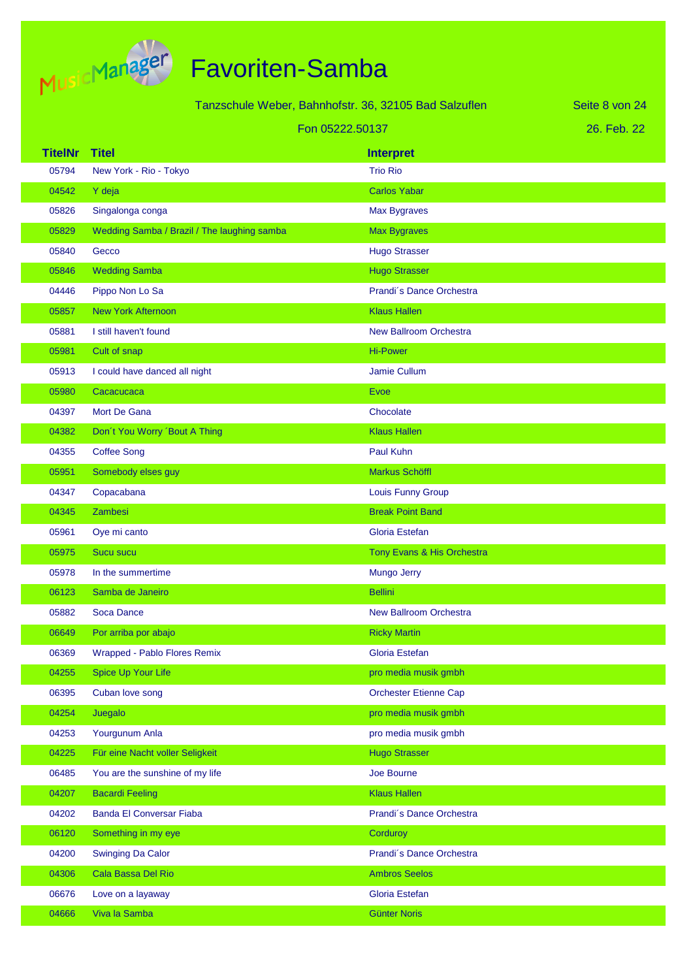

| Tanzschule Weber, Bahnhofstr. 36, 32105 Bad Salzuflen |                                             |                               | Seite 8 von 24 |
|-------------------------------------------------------|---------------------------------------------|-------------------------------|----------------|
|                                                       | Fon 05222.50137                             |                               | 26. Feb. 22    |
| <b>TitelNr</b>                                        | <b>Titel</b>                                | <b>Interpret</b>              |                |
| 05794                                                 | New York - Rio - Tokyo                      | <b>Trio Rio</b>               |                |
| 04542                                                 | Y deja                                      | <b>Carlos Yabar</b>           |                |
| 05826                                                 | Singalonga conga                            | Max Bygraves                  |                |
| 05829                                                 | Wedding Samba / Brazil / The laughing samba | <b>Max Bygraves</b>           |                |
| 05840                                                 | Gecco                                       | <b>Hugo Strasser</b>          |                |
| 05846                                                 | <b>Wedding Samba</b>                        | <b>Hugo Strasser</b>          |                |
| 04446                                                 | Pippo Non Lo Sa                             | Prandi's Dance Orchestra      |                |
| 05857                                                 | <b>New York Afternoon</b>                   | <b>Klaus Hallen</b>           |                |
| 05881                                                 | I still haven't found                       | <b>New Ballroom Orchestra</b> |                |
| 05981                                                 | Cult of snap                                | <b>Hi-Power</b>               |                |
| 05913                                                 | I could have danced all night               | Jamie Cullum                  |                |
| 05980                                                 | Cacacucaca                                  | <b>Evoe</b>                   |                |
| 04397                                                 | Mort De Gana                                | Chocolate                     |                |
| 04382                                                 | Don't You Worry 'Bout A Thing               | <b>Klaus Hallen</b>           |                |
| 04355                                                 | <b>Coffee Song</b>                          | Paul Kuhn                     |                |
| 05951                                                 | Somebody elses guy                          | Markus Schöffl                |                |
| 04347                                                 | Copacabana                                  | <b>Louis Funny Group</b>      |                |
| 04345                                                 | <b>Zambesi</b>                              | <b>Break Point Band</b>       |                |
| 05961                                                 | Oye mi canto                                | Gloria Estefan                |                |
| 05975                                                 | <b>Sucu sucu</b>                            | Tony Evans & His Orchestra    |                |
| 05978                                                 | In the summertime                           | Mungo Jerry                   |                |
| 06123                                                 | Samba de Janeiro                            | <b>Bellini</b>                |                |
| 05882                                                 | Soca Dance                                  | <b>New Ballroom Orchestra</b> |                |
| 06649                                                 | Por arriba por abajo                        | <b>Ricky Martin</b>           |                |
| 06369                                                 | Wrapped - Pablo Flores Remix                | Gloria Estefan                |                |
| 04255                                                 | Spice Up Your Life                          | pro media musik gmbh          |                |
| 06395                                                 | Cuban love song                             | <b>Orchester Etienne Cap</b>  |                |
| 04254                                                 | Juegalo                                     | pro media musik gmbh          |                |
| 04253                                                 | Yourgunum Anla                              | pro media musik gmbh          |                |
| 04225                                                 | Für eine Nacht voller Seligkeit             | <b>Hugo Strasser</b>          |                |
| 06485                                                 | You are the sunshine of my life             | Joe Bourne                    |                |
| 04207                                                 | <b>Bacardi Feeling</b>                      | <b>Klaus Hallen</b>           |                |
| 04202                                                 | <b>Banda El Conversar Fiaba</b>             | Prandi's Dance Orchestra      |                |
| 06120                                                 | Something in my eye                         | Corduroy                      |                |
| 04200                                                 | <b>Swinging Da Calor</b>                    | Prandi's Dance Orchestra      |                |
| 04306                                                 | Cala Bassa Del Rio                          | <b>Ambros Seelos</b>          |                |
| 06676                                                 | Love on a layaway                           | Gloria Estefan                |                |
| 04666                                                 | Viva la Samba                               | <b>Günter Noris</b>           |                |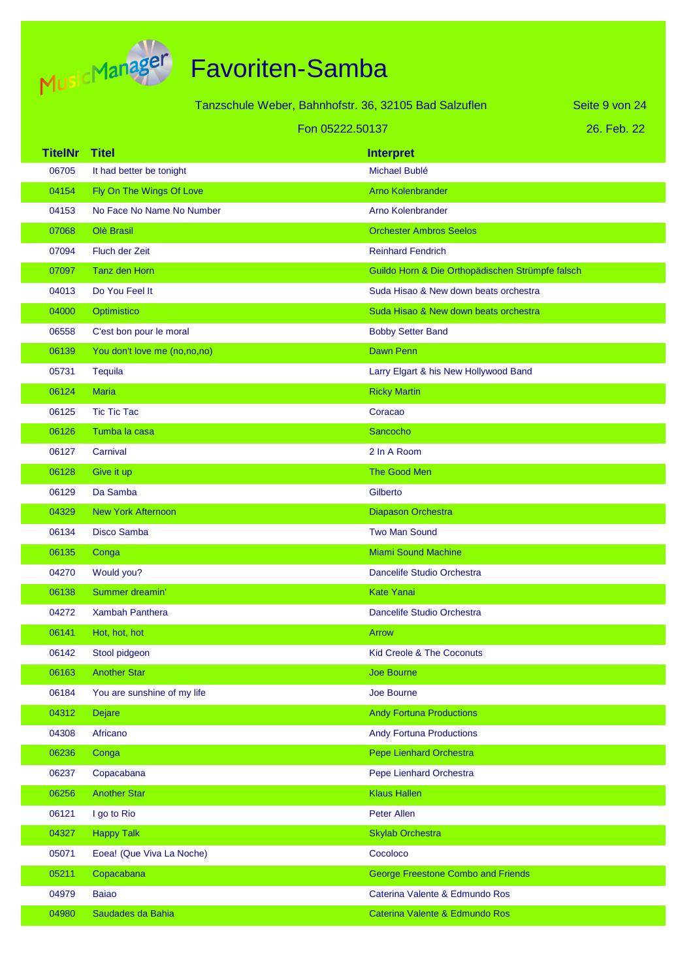

Tanzschule Weber, Bahnhofstr. 36, 32105 Bad Salzuflen

Seite 9 von 24

|  | Fon 05222.50137 |  |
|--|-----------------|--|
|--|-----------------|--|

|  | 26. Feb. 22 |  |
|--|-------------|--|
|  |             |  |

| <b>TitelNr</b> | <b>Titel</b>                 | <b>Interpret</b>                                 |
|----------------|------------------------------|--------------------------------------------------|
| 06705          | It had better be tonight     | Michael Bublé                                    |
| 04154          | Fly On The Wings Of Love     | <b>Arno Kolenbrander</b>                         |
| 04153          | No Face No Name No Number    | <b>Arno Kolenbrander</b>                         |
| 07068          | Olè Brasil                   | <b>Orchester Ambros Seelos</b>                   |
| 07094          | Fluch der Zeit               | <b>Reinhard Fendrich</b>                         |
| 07097          | Tanz den Horn                | Guildo Horn & Die Orthopädischen Strümpfe falsch |
| 04013          | Do You Feel It               | Suda Hisao & New down beats orchestra            |
| 04000          | Optimistico                  | Suda Hisao & New down beats orchestra            |
| 06558          | C'est bon pour le moral      | <b>Bobby Setter Band</b>                         |
| 06139          | You don't love me (no,no,no) | <b>Dawn Penn</b>                                 |
| 05731          | Tequila                      | Larry Elgart & his New Hollywood Band            |
| 06124          | <b>Maria</b>                 | <b>Ricky Martin</b>                              |
| 06125          | <b>Tic Tic Tac</b>           | Coracao                                          |
| 06126          | Tumba la casa                | Sancocho                                         |
| 06127          | Carnival                     | 2 In A Room                                      |
| 06128          | Give it up                   | The Good Men                                     |
| 06129          | Da Samba                     | Gilberto                                         |
| 04329          | <b>New York Afternoon</b>    | Diapason Orchestra                               |
| 06134          | <b>Disco Samba</b>           | <b>Two Man Sound</b>                             |
| 06135          | Conga                        | <b>Miami Sound Machine</b>                       |
| 04270          | Would you?                   | Dancelife Studio Orchestra                       |
| 06138          | Summer dreamin'              | <b>Kate Yanai</b>                                |
| 04272          | <b>Xambah Panthera</b>       | Dancelife Studio Orchestra                       |
| 06141          | Hot, hot, hot                | Arrow                                            |
| 06142          | Stool pidgeon                | <b>Kid Creole &amp; The Coconuts</b>             |
| 06163          | <b>Another Star</b>          | <b>Joe Bourne</b>                                |
| 06184          | You are sunshine of my life  | Joe Bourne                                       |
| 04312          | <b>Dejare</b>                | <b>Andy Fortuna Productions</b>                  |
| 04308          | Africano                     | <b>Andy Fortuna Productions</b>                  |
| 06236          | Conga                        | Pepe Lienhard Orchestra                          |
| 06237          | Copacabana                   | Pepe Lienhard Orchestra                          |
| 06256          | <b>Another Star</b>          | <b>Klaus Hallen</b>                              |
| 06121          | I go to Rio                  | Peter Allen                                      |
| 04327          | <b>Happy Talk</b>            | <b>Skylab Orchestra</b>                          |
| 05071          | Eoea! (Que Viva La Noche)    | Cocoloco                                         |
| 05211          | Copacabana                   | <b>George Freestone Combo and Friends</b>        |
| 04979          | <b>Baiao</b>                 | Caterina Valente & Edmundo Ros                   |
| 04980          | Saudades da Bahia            | Caterina Valente & Edmundo Ros                   |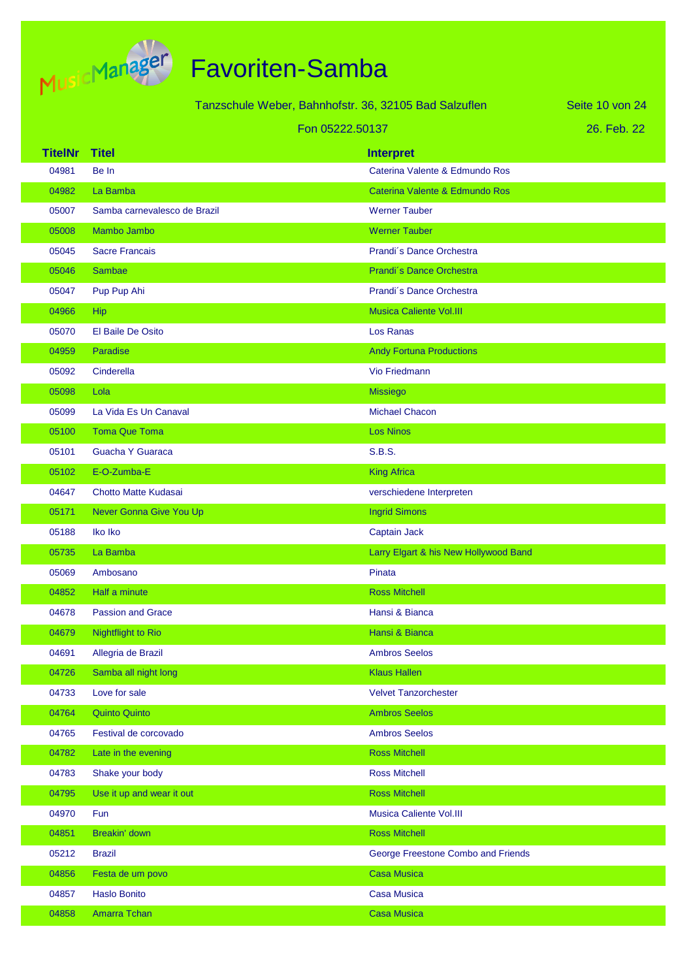

| Tanzschule Weber, Bahnhofstr. 36, 32105 Bad Salzuflen |                              |                                       | Seite 10 von 24 |
|-------------------------------------------------------|------------------------------|---------------------------------------|-----------------|
|                                                       |                              | Fon 05222.50137                       | 26. Feb. 22     |
| <b>TitelNr</b>                                        | <b>Titel</b>                 | <b>Interpret</b>                      |                 |
| 04981                                                 | Be In                        | Caterina Valente & Edmundo Ros        |                 |
| 04982                                                 | La Bamba                     | Caterina Valente & Edmundo Ros        |                 |
| 05007                                                 | Samba carnevalesco de Brazil | <b>Werner Tauber</b>                  |                 |
| 05008                                                 | Mambo Jambo                  | <b>Werner Tauber</b>                  |                 |
| 05045                                                 | <b>Sacre Francais</b>        | Prandi's Dance Orchestra              |                 |
| 05046                                                 | Sambae                       | Prandi's Dance Orchestra              |                 |
| 05047                                                 | Pup Pup Ahi                  | Prandi's Dance Orchestra              |                 |
| 04966                                                 | Hip                          | <b>Musica Caliente Vol.III</b>        |                 |
| 05070                                                 | El Baile De Osito            | Los Ranas                             |                 |
| 04959                                                 | Paradise                     | <b>Andy Fortuna Productions</b>       |                 |
| 05092                                                 | Cinderella                   | Vio Friedmann                         |                 |
| 05098                                                 | Lola                         | <b>Missiego</b>                       |                 |
| 05099                                                 | La Vida Es Un Canaval        | <b>Michael Chacon</b>                 |                 |
| 05100                                                 | <b>Toma Que Toma</b>         | <b>Los Ninos</b>                      |                 |
| 05101                                                 | Guacha Y Guaraca             | <b>S.B.S.</b>                         |                 |
| 05102                                                 | E-O-Zumba-E                  | <b>King Africa</b>                    |                 |
| 04647                                                 | Chotto Matte Kudasai         | verschiedene Interpreten              |                 |
| 05171                                                 | Never Gonna Give You Up      | <b>Ingrid Simons</b>                  |                 |
| 05188                                                 | Iko Iko                      | Captain Jack                          |                 |
| 05735                                                 | La Bamba                     | Larry Elgart & his New Hollywood Band |                 |
| 05069                                                 | Ambosano                     | Pinata                                |                 |
| 04852                                                 | Half a minute                | <b>Ross Mitchell</b>                  |                 |
| 04678                                                 | <b>Passion and Grace</b>     | Hansi & Bianca                        |                 |
| 04679                                                 | <b>Nightflight to Rio</b>    | Hansi & Bianca                        |                 |
| 04691                                                 | Allegria de Brazil           | <b>Ambros Seelos</b>                  |                 |
| 04726                                                 | Samba all night long         | <b>Klaus Hallen</b>                   |                 |
| 04733                                                 | Love for sale                | <b>Velvet Tanzorchester</b>           |                 |
| 04764                                                 | <b>Quinto Quinto</b>         | <b>Ambros Seelos</b>                  |                 |
| 04765                                                 | Festival de corcovado        | <b>Ambros Seelos</b>                  |                 |
| 04782                                                 | Late in the evening          | <b>Ross Mitchell</b>                  |                 |
| 04783                                                 | Shake your body              | <b>Ross Mitchell</b>                  |                 |
| 04795                                                 | Use it up and wear it out    | <b>Ross Mitchell</b>                  |                 |
| 04970                                                 | Fun                          | Musica Caliente Vol.III               |                 |
| 04851                                                 | Breakin' down                | <b>Ross Mitchell</b>                  |                 |
| 05212                                                 | <b>Brazil</b>                | George Freestone Combo and Friends    |                 |
| 04856                                                 | Festa de um povo             | <b>Casa Musica</b>                    |                 |
| 04857                                                 | <b>Haslo Bonito</b>          | <b>Casa Musica</b>                    |                 |
| 04858                                                 | Amarra Tchan                 | Casa Musica                           |                 |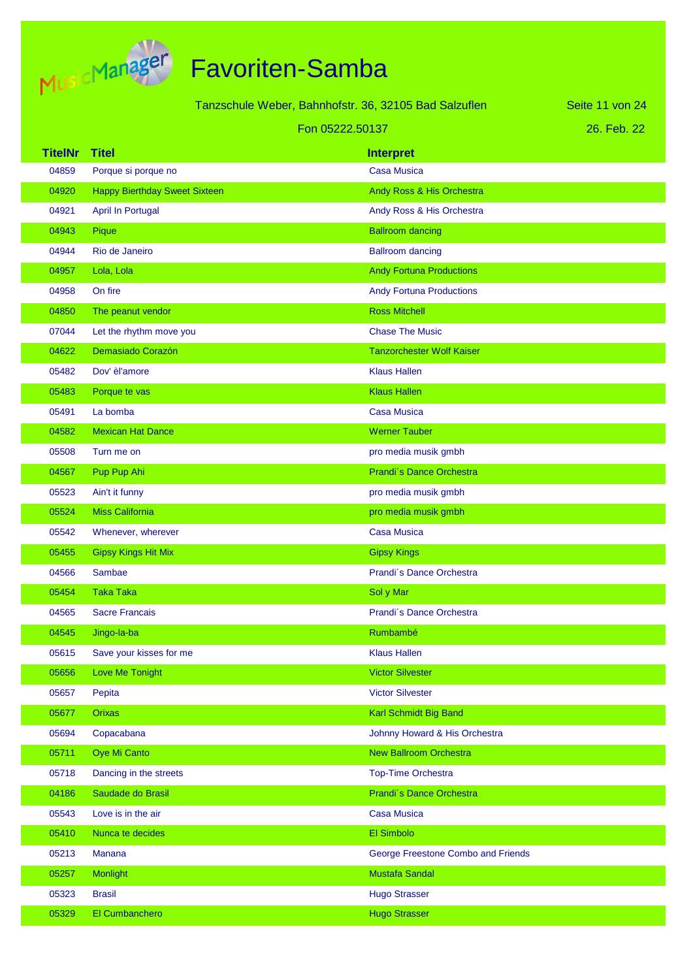

|                |                                      | Tanzschule Weber, Bahnhofstr. 36, 32105 Bad Salzuflen | Seite 11 von 24 |
|----------------|--------------------------------------|-------------------------------------------------------|-----------------|
|                |                                      | Fon 05222.50137                                       | 26. Feb. 22     |
| <b>TitelNr</b> | <b>Titel</b>                         | <b>Interpret</b>                                      |                 |
| 04859          | Porque si porque no                  | <b>Casa Musica</b>                                    |                 |
| 04920          | <b>Happy Bierthday Sweet Sixteen</b> | Andy Ross & His Orchestra                             |                 |
| 04921          | <b>April In Portugal</b>             | Andy Ross & His Orchestra                             |                 |
| 04943          | Pique                                | <b>Ballroom dancing</b>                               |                 |
| 04944          | Rio de Janeiro                       | <b>Ballroom dancing</b>                               |                 |
| 04957          | Lola, Lola                           | <b>Andy Fortuna Productions</b>                       |                 |
| 04958          | On fire                              | <b>Andy Fortuna Productions</b>                       |                 |
| 04850          | The peanut vendor                    | <b>Ross Mitchell</b>                                  |                 |
| 07044          | Let the rhythm move you              | <b>Chase The Music</b>                                |                 |
| 04622          | Demasiado Corazón                    | <b>Tanzorchester Wolf Kaiser</b>                      |                 |
| 05482          | Dov' èl'amore                        | <b>Klaus Hallen</b>                                   |                 |
| 05483          | Porque te vas                        | <b>Klaus Hallen</b>                                   |                 |
| 05491          | La bomba                             | <b>Casa Musica</b>                                    |                 |
| 04582          | <b>Mexican Hat Dance</b>             | <b>Werner Tauber</b>                                  |                 |
| 05508          | Turn me on                           | pro media musik gmbh                                  |                 |
| 04567          | Pup Pup Ahi                          | Prandi's Dance Orchestra                              |                 |
| 05523          | Ain't it funny                       | pro media musik gmbh                                  |                 |
| 05524          | <b>Miss California</b>               | pro media musik gmbh                                  |                 |
| 05542          | Whenever, wherever                   | <b>Casa Musica</b>                                    |                 |
| 05455          | <b>Gipsy Kings Hit Mix</b>           | <b>Gipsy Kings</b>                                    |                 |
| 04566          | Sambae                               | Prandi's Dance Orchestra                              |                 |
| 05454          | <b>Taka Taka</b>                     | Sol y Mar                                             |                 |
| 04565          | <b>Sacre Francais</b>                | Prandi's Dance Orchestra                              |                 |
| 04545          | Jingo-la-ba                          | Rumbambé                                              |                 |
| 05615          | Save your kisses for me              | <b>Klaus Hallen</b>                                   |                 |
| 05656          | Love Me Tonight                      | <b>Victor Silvester</b>                               |                 |
| 05657          | Pepita                               | <b>Victor Silvester</b>                               |                 |
| 05677          | <b>Orixas</b>                        | Karl Schmidt Big Band                                 |                 |
| 05694          | Copacabana                           | Johnny Howard & His Orchestra                         |                 |
| 05711          | Oye Mi Canto                         | <b>New Ballroom Orchestra</b>                         |                 |
| 05718          | Dancing in the streets               | <b>Top-Time Orchestra</b>                             |                 |
| 04186          | Saudade do Brasil                    | Prandi's Dance Orchestra                              |                 |
| 05543          | Love is in the air                   | <b>Casa Musica</b>                                    |                 |
| 05410          | Nunca te decides                     | El Simbolo                                            |                 |
| 05213          | Manana                               | George Freestone Combo and Friends                    |                 |
| 05257          | Monlight                             | <b>Mustafa Sandal</b>                                 |                 |
| 05323          | <b>Brasil</b>                        | <b>Hugo Strasser</b>                                  |                 |
| 05329          | El Cumbanchero                       | <b>Hugo Strasser</b>                                  |                 |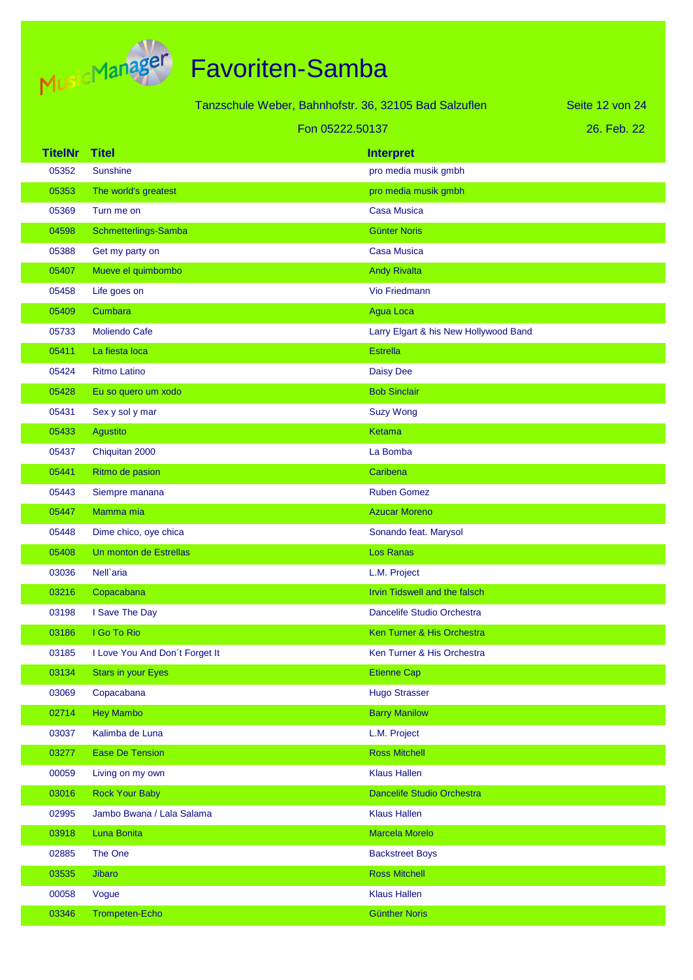

|                |                                | Tanzschule Weber, Bahnhofstr. 36, 32105 Bad Salzuflen |                                       | Seite 12 von 24 |
|----------------|--------------------------------|-------------------------------------------------------|---------------------------------------|-----------------|
|                |                                | Fon 05222.50137                                       |                                       | 26. Feb. 22     |
| <b>TitelNr</b> | <b>Titel</b>                   |                                                       | <b>Interpret</b>                      |                 |
| 05352          | <b>Sunshine</b>                |                                                       | pro media musik gmbh                  |                 |
| 05353          | The world's greatest           |                                                       | pro media musik gmbh                  |                 |
| 05369          | Turn me on                     |                                                       | <b>Casa Musica</b>                    |                 |
| 04598          | Schmetterlings-Samba           |                                                       | <b>Günter Noris</b>                   |                 |
| 05388          | Get my party on                |                                                       | <b>Casa Musica</b>                    |                 |
| 05407          | Mueve el quimbombo             |                                                       | <b>Andy Rivalta</b>                   |                 |
| 05458          | Life goes on                   |                                                       | Vio Friedmann                         |                 |
| 05409          | Cumbara                        |                                                       | <b>Agua Loca</b>                      |                 |
| 05733          | Moliendo Cafe                  |                                                       | Larry Elgart & his New Hollywood Band |                 |
| 05411          | La fiesta loca                 |                                                       | <b>Estrella</b>                       |                 |
| 05424          | <b>Ritmo Latino</b>            |                                                       | <b>Daisy Dee</b>                      |                 |
| 05428          | Eu so quero um xodo            |                                                       | <b>Bob Sinclair</b>                   |                 |
| 05431          | Sex y sol y mar                |                                                       | <b>Suzy Wong</b>                      |                 |
| 05433          | <b>Agustito</b>                |                                                       | Ketama                                |                 |
| 05437          | Chiquitan 2000                 |                                                       | La Bomba                              |                 |
| 05441          | Ritmo de pasion                |                                                       | Caribena                              |                 |
| 05443          | Siempre manana                 |                                                       | <b>Ruben Gomez</b>                    |                 |
| 05447          | Mamma mia                      |                                                       | <b>Azucar Moreno</b>                  |                 |
| 05448          | Dime chico, oye chica          |                                                       | Sonando feat. Marysol                 |                 |
| 05408          | Un monton de Estrellas         |                                                       | <b>Los Ranas</b>                      |                 |
| 03036          | Nell'aria                      |                                                       | L.M. Project                          |                 |
| 03216          | Copacabana                     |                                                       | Irvin Tidswell and the falsch         |                 |
| 03198          | I Save The Day                 |                                                       | Dancelife Studio Orchestra            |                 |
| 03186          | I Go To Rio                    |                                                       | Ken Turner & His Orchestra            |                 |
| 03185          | I Love You And Don't Forget It |                                                       | Ken Turner & His Orchestra            |                 |
| 03134          | <b>Stars in your Eyes</b>      |                                                       | <b>Etienne Cap</b>                    |                 |
| 03069          | Copacabana                     |                                                       | <b>Hugo Strasser</b>                  |                 |
| 02714          | <b>Hey Mambo</b>               |                                                       | <b>Barry Manilow</b>                  |                 |
| 03037          | Kalimba de Luna                |                                                       | L.M. Project                          |                 |
| 03277          | <b>Ease De Tension</b>         |                                                       | <b>Ross Mitchell</b>                  |                 |
| 00059          | Living on my own               |                                                       | <b>Klaus Hallen</b>                   |                 |
| 03016          | <b>Rock Your Baby</b>          |                                                       | Dancelife Studio Orchestra            |                 |
| 02995          | Jambo Bwana / Lala Salama      |                                                       | <b>Klaus Hallen</b>                   |                 |
| 03918          | Luna Bonita                    |                                                       | Marcela Morelo                        |                 |
| 02885          | The One                        |                                                       | <b>Backstreet Boys</b>                |                 |
| 03535          | <b>Jibaro</b>                  |                                                       | <b>Ross Mitchell</b>                  |                 |
| 00058          | Vogue                          |                                                       | <b>Klaus Hallen</b>                   |                 |
| 03346          | <b>Trompeten-Echo</b>          |                                                       | <b>Günther Noris</b>                  |                 |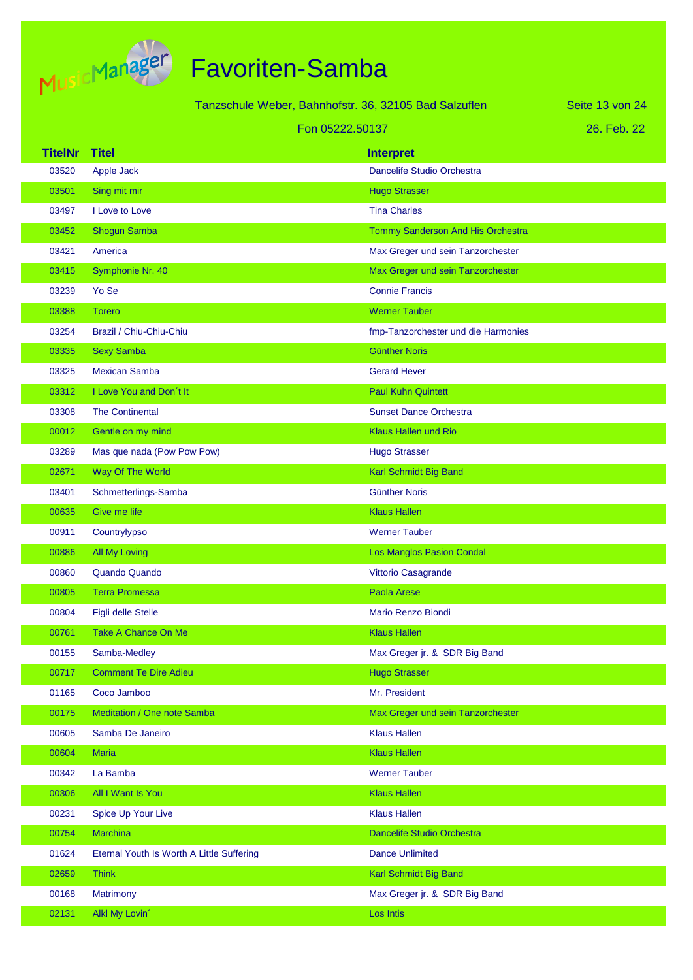

|                 |                                           | Tanzschule Weber, Bahnhofstr. 36, 32105 Bad Salzuflen | Seite 13 von 24 |
|-----------------|-------------------------------------------|-------------------------------------------------------|-----------------|
| Fon 05222.50137 |                                           |                                                       | 26. Feb. 22     |
| <b>TitelNr</b>  | <b>Titel</b>                              | <b>Interpret</b>                                      |                 |
| 03520           | Apple Jack                                | Dancelife Studio Orchestra                            |                 |
| 03501           | Sing mit mir                              | <b>Hugo Strasser</b>                                  |                 |
| 03497           | I Love to Love                            | <b>Tina Charles</b>                                   |                 |
| 03452           | <b>Shogun Samba</b>                       | Tommy Sanderson And His Orchestra                     |                 |
| 03421           | America                                   | Max Greger und sein Tanzorchester                     |                 |
| 03415           | Symphonie Nr. 40                          | Max Greger und sein Tanzorchester                     |                 |
| 03239           | Yo Se                                     | <b>Connie Francis</b>                                 |                 |
| 03388           | <b>Torero</b>                             | <b>Werner Tauber</b>                                  |                 |
| 03254           | Brazil / Chiu-Chiu-Chiu                   | fmp-Tanzorchester und die Harmonies                   |                 |
| 03335           | <b>Sexy Samba</b>                         | <b>Günther Noris</b>                                  |                 |
| 03325           | <b>Mexican Samba</b>                      | <b>Gerard Hever</b>                                   |                 |
| 03312           | I Love You and Don't It                   | <b>Paul Kuhn Quintett</b>                             |                 |
| 03308           | <b>The Continental</b>                    | <b>Sunset Dance Orchestra</b>                         |                 |
| 00012           | Gentle on my mind                         | <b>Klaus Hallen und Rio</b>                           |                 |
| 03289           | Mas que nada (Pow Pow Pow)                | <b>Hugo Strasser</b>                                  |                 |
| 02671           | Way Of The World                          | Karl Schmidt Big Band                                 |                 |
| 03401           | Schmetterlings-Samba                      | <b>Günther Noris</b>                                  |                 |
| 00635           | <b>Give me life</b>                       | <b>Klaus Hallen</b>                                   |                 |
| 00911           | Countrylypso                              | <b>Werner Tauber</b>                                  |                 |
| 00886           | <b>All My Loving</b>                      | <b>Los Manglos Pasion Condal</b>                      |                 |
| 00860           | <b>Quando Quando</b>                      | Vittorio Casagrande                                   |                 |
| 00805           | <b>Terra Promessa</b>                     | Paola Arese                                           |                 |
| 00804           | <b>Figli delle Stelle</b>                 | <b>Mario Renzo Biondi</b>                             |                 |
| 00761           | <b>Take A Chance On Me</b>                | <b>Klaus Hallen</b>                                   |                 |
| 00155           | Samba-Medley                              | Max Greger jr. & SDR Big Band                         |                 |
| 00717           | <b>Comment Te Dire Adieu</b>              | <b>Hugo Strasser</b>                                  |                 |
| 01165           | Coco Jamboo                               | Mr. President                                         |                 |
| 00175           | Meditation / One note Samba               | Max Greger und sein Tanzorchester                     |                 |
| 00605           | Samba De Janeiro                          | <b>Klaus Hallen</b>                                   |                 |
| 00604           | <b>Maria</b>                              | <b>Klaus Hallen</b>                                   |                 |
| 00342           | La Bamba                                  | <b>Werner Tauber</b>                                  |                 |
| 00306           | All I Want Is You                         | <b>Klaus Hallen</b>                                   |                 |
| 00231           | Spice Up Your Live                        | <b>Klaus Hallen</b>                                   |                 |
| 00754           | <b>Marchina</b>                           | <b>Dancelife Studio Orchestra</b>                     |                 |
| 01624           | Eternal Youth Is Worth A Little Suffering | <b>Dance Unlimited</b>                                |                 |
| 02659           | <b>Think</b>                              | Karl Schmidt Big Band                                 |                 |
| 00168           | Matrimony                                 | Max Greger jr. & SDR Big Band                         |                 |
| 02131           | Alkl My Lovin'                            | Los Intis                                             |                 |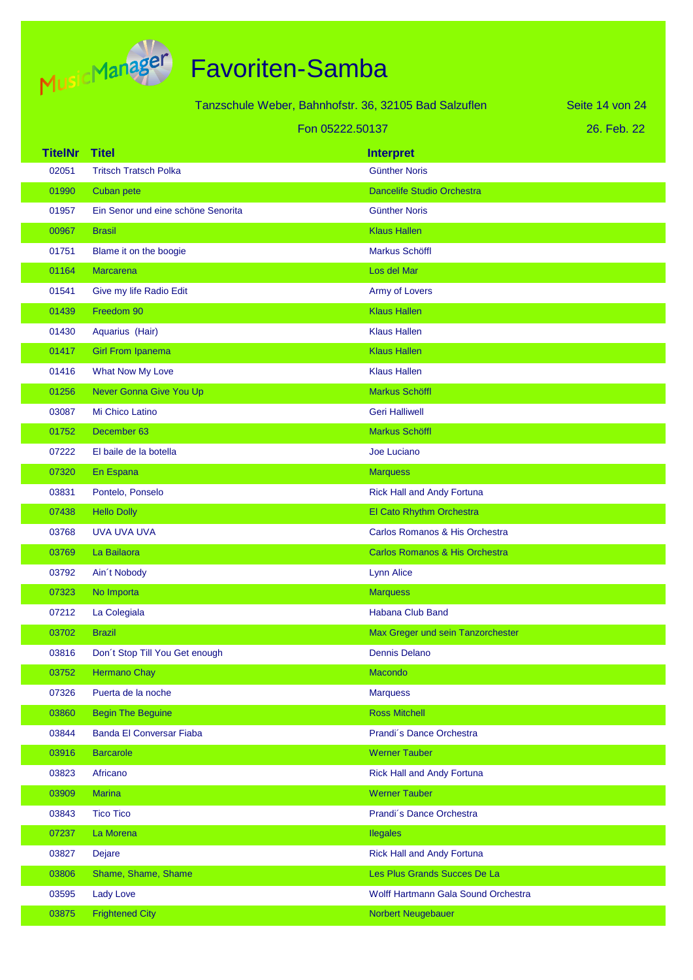

| Tanzschule Weber, Bahnhofstr. 36, 32105 Bad Salzuflen<br>Seite 14 von 24 |                                    |                                     |             |
|--------------------------------------------------------------------------|------------------------------------|-------------------------------------|-------------|
|                                                                          |                                    | Fon 05222.50137                     | 26. Feb. 22 |
| <b>TitelNr</b>                                                           | <b>Titel</b>                       | <b>Interpret</b>                    |             |
| 02051                                                                    | <b>Tritsch Tratsch Polka</b>       | <b>Günther Noris</b>                |             |
| 01990                                                                    | Cuban pete                         | <b>Dancelife Studio Orchestra</b>   |             |
| 01957                                                                    | Ein Senor und eine schöne Senorita | <b>Günther Noris</b>                |             |
| 00967                                                                    | <b>Brasil</b>                      | <b>Klaus Hallen</b>                 |             |
| 01751                                                                    | Blame it on the boogie             | Markus Schöffl                      |             |
| 01164                                                                    | Marcarena                          | Los del Mar                         |             |
| 01541                                                                    | Give my life Radio Edit            | Army of Lovers                      |             |
| 01439                                                                    | Freedom 90                         | <b>Klaus Hallen</b>                 |             |
| 01430                                                                    | Aquarius (Hair)                    | <b>Klaus Hallen</b>                 |             |
| 01417                                                                    | <b>Girl From Ipanema</b>           | <b>Klaus Hallen</b>                 |             |
| 01416                                                                    | What Now My Love                   | <b>Klaus Hallen</b>                 |             |
| 01256                                                                    | Never Gonna Give You Up            | Markus Schöffl                      |             |
| 03087                                                                    | Mi Chico Latino                    | <b>Geri Halliwell</b>               |             |
| 01752                                                                    | December 63                        | Markus Schöffl                      |             |
| 07222                                                                    | El baile de la botella             | Joe Luciano                         |             |
| 07320                                                                    | En Espana                          | <b>Marquess</b>                     |             |
| 03831                                                                    | Pontelo, Ponselo                   | <b>Rick Hall and Andy Fortuna</b>   |             |
| 07438                                                                    | <b>Hello Dolly</b>                 | El Cato Rhythm Orchestra            |             |
| 03768                                                                    | UVA UVA UVA                        | Carlos Romanos & His Orchestra      |             |
| 03769                                                                    | La Bailaora                        | Carlos Romanos & His Orchestra      |             |
| 03792                                                                    | Ain't Nobody                       | <b>Lynn Alice</b>                   |             |
| 07323                                                                    | No Importa                         | <b>Marquess</b>                     |             |
| 07212                                                                    | La Colegiala                       | Habana Club Band                    |             |
| 03702                                                                    | <b>Brazil</b>                      | Max Greger und sein Tanzorchester   |             |
| 03816                                                                    | Don't Stop Till You Get enough     | <b>Dennis Delano</b>                |             |
| 03752                                                                    | <b>Hermano Chay</b>                | Macondo                             |             |
| 07326                                                                    | Puerta de la noche                 | <b>Marquess</b>                     |             |
| 03860                                                                    | <b>Begin The Beguine</b>           | <b>Ross Mitchell</b>                |             |
| 03844                                                                    | <b>Banda El Conversar Fiaba</b>    | Prandi's Dance Orchestra            |             |
| 03916                                                                    | <b>Barcarole</b>                   | <b>Werner Tauber</b>                |             |
| 03823                                                                    | Africano                           | <b>Rick Hall and Andy Fortuna</b>   |             |
| 03909                                                                    | <b>Marina</b>                      | <b>Werner Tauber</b>                |             |
| 03843                                                                    | <b>Tico Tico</b>                   | Prandi's Dance Orchestra            |             |
| 07237                                                                    | La Morena                          | <b>Ilegales</b>                     |             |
| 03827                                                                    | Dejare                             | <b>Rick Hall and Andy Fortuna</b>   |             |
| 03806                                                                    | Shame, Shame, Shame                | Les Plus Grands Succes De La        |             |
| 03595                                                                    | <b>Lady Love</b>                   | Wolff Hartmann Gala Sound Orchestra |             |
| 03875                                                                    | <b>Frightened City</b>             | Norbert Neugebauer                  |             |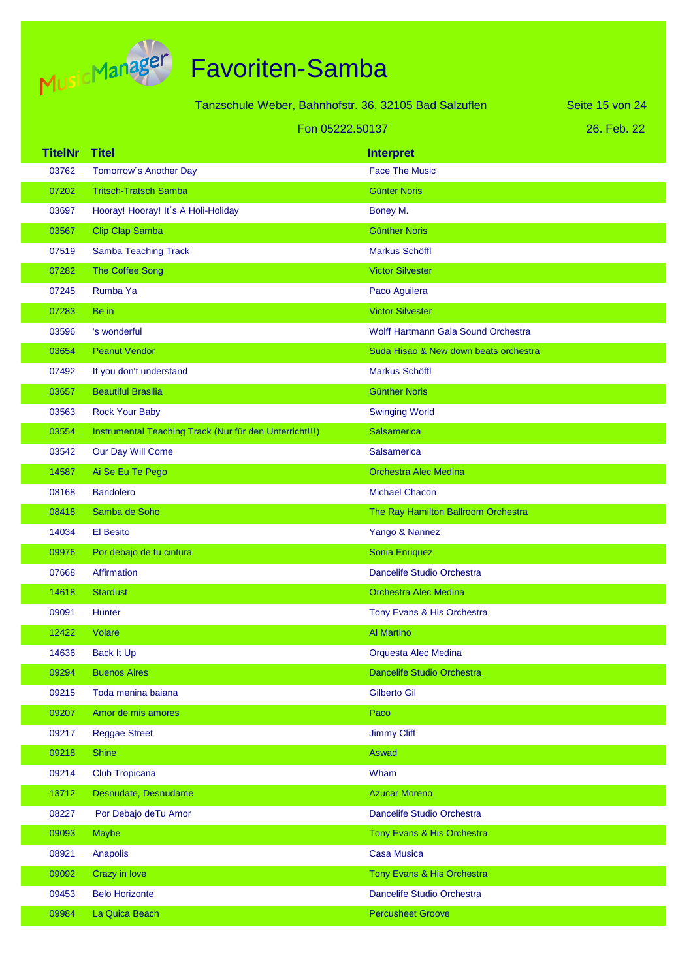

| Tanzschule Weber, Bahnhofstr. 36, 32105 Bad Salzuflen |  |  |  |
|-------------------------------------------------------|--|--|--|
|-------------------------------------------------------|--|--|--|

26. Feb. 22 Seite 15 von 24

|                | Fon 05222.50137                                         |                                            | 26. Feb. 22 |
|----------------|---------------------------------------------------------|--------------------------------------------|-------------|
| <b>TitelNr</b> | <b>Titel</b>                                            | <b>Interpret</b>                           |             |
| 03762          | Tomorrow's Another Day                                  | <b>Face The Music</b>                      |             |
| 07202          | <b>Tritsch-Tratsch Samba</b>                            | <b>Günter Noris</b>                        |             |
| 03697          | Hooray! Hooray! It's A Holi-Holiday                     | Boney M.                                   |             |
| 03567          | <b>Clip Clap Samba</b>                                  | <b>Günther Noris</b>                       |             |
| 07519          | Samba Teaching Track                                    | Markus Schöffl                             |             |
| 07282          | The Coffee Song                                         | <b>Victor Silvester</b>                    |             |
| 07245          | Rumba Ya                                                | Paco Aguilera                              |             |
| 07283          | Be in                                                   | <b>Victor Silvester</b>                    |             |
| 03596          | 's wonderful                                            | <b>Wolff Hartmann Gala Sound Orchestra</b> |             |
| 03654          | <b>Peanut Vendor</b>                                    | Suda Hisao & New down beats orchestra      |             |
| 07492          | If you don't understand                                 | <b>Markus Schöffl</b>                      |             |
| 03657          | <b>Beautiful Brasilia</b>                               | <b>Günther Noris</b>                       |             |
| 03563          | <b>Rock Your Baby</b>                                   | <b>Swinging World</b>                      |             |
| 03554          | Instrumental Teaching Track (Nur für den Unterricht!!!) | <b>Salsamerica</b>                         |             |
| 03542          | Our Day Will Come                                       | <b>Salsamerica</b>                         |             |
| 14587          | Ai Se Eu Te Pego                                        | <b>Orchestra Alec Medina</b>               |             |
| 08168          | <b>Bandolero</b>                                        | <b>Michael Chacon</b>                      |             |
| 08418          | Samba de Soho                                           | The Ray Hamilton Ballroom Orchestra        |             |
| 14034          | <b>El Besito</b>                                        | Yango & Nannez                             |             |
| 09976          | Por debajo de tu cintura                                | Sonia Enriquez                             |             |
| 07668          | <b>Affirmation</b>                                      | Dancelife Studio Orchestra                 |             |
| 14618          | <b>Stardust</b>                                         | <b>Orchestra Alec Medina</b>               |             |
| 09091          | Hunter                                                  | Tony Evans & His Orchestra                 |             |
| 12422          | Volare                                                  | <b>Al Martino</b>                          |             |
| 14636          | <b>Back It Up</b>                                       | Orquesta Alec Medina                       |             |
| 09294          | <b>Buenos Aires</b>                                     | <b>Dancelife Studio Orchestra</b>          |             |
| 09215          | Toda menina baiana                                      | <b>Gilberto Gil</b>                        |             |
| 09207          | Amor de mis amores                                      | Paco                                       |             |
| 09217          | <b>Reggae Street</b>                                    | <b>Jimmy Cliff</b>                         |             |
| 09218          | <b>Shine</b>                                            | Aswad                                      |             |
| 09214          | Club Tropicana                                          | Wham                                       |             |
| 13712          | Desnudate, Desnudame                                    | <b>Azucar Moreno</b>                       |             |
| 08227          | Por Debajo deTu Amor                                    | Dancelife Studio Orchestra                 |             |
| 09093          | <b>Maybe</b>                                            | Tony Evans & His Orchestra                 |             |
| 08921          | Anapolis                                                | <b>Casa Musica</b>                         |             |
| 09092          | Crazy in love                                           | Tony Evans & His Orchestra                 |             |
| 09453          | <b>Belo Horizonte</b>                                   | Dancelife Studio Orchestra                 |             |
| 09984          | La Quica Beach                                          | <b>Percusheet Groove</b>                   |             |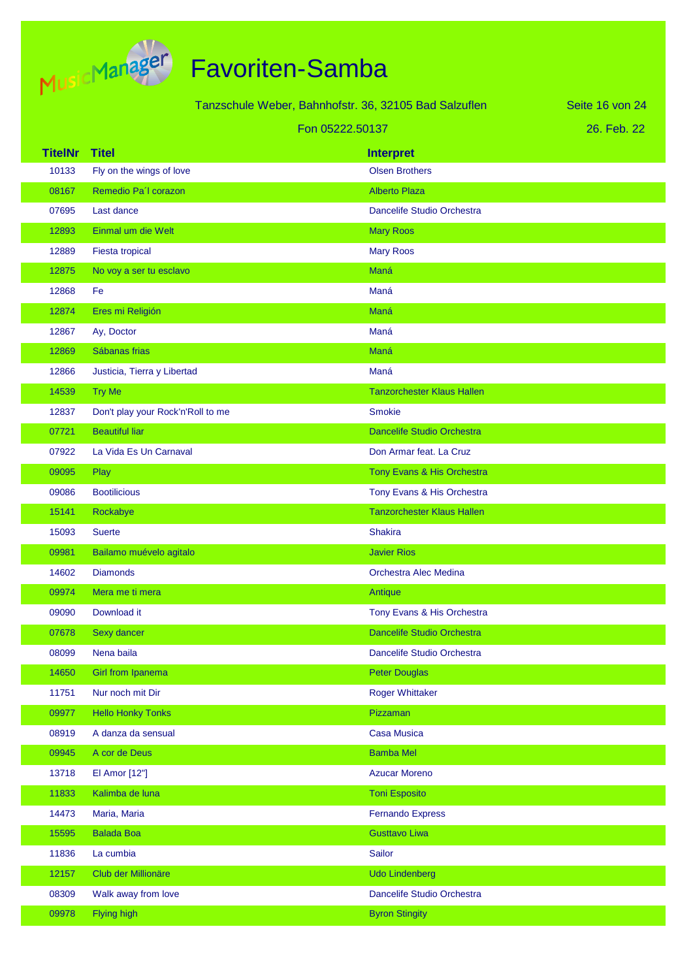

| Tanzschule Weber, Bahnhofstr. 36, 32105 Bad Salzuflen |                                   |                                   | Seite 16 von 24 |
|-------------------------------------------------------|-----------------------------------|-----------------------------------|-----------------|
|                                                       |                                   | Fon 05222.50137                   | 26. Feb. 22     |
| <b>TitelNr</b>                                        | <b>Titel</b>                      | <b>Interpret</b>                  |                 |
| 10133                                                 | Fly on the wings of love          | <b>Olsen Brothers</b>             |                 |
| 08167                                                 | Remedio Pa'l corazon              | <b>Alberto Plaza</b>              |                 |
| 07695                                                 | Last dance                        | Dancelife Studio Orchestra        |                 |
| 12893                                                 | Einmal um die Welt                | <b>Mary Roos</b>                  |                 |
| 12889                                                 | Fiesta tropical                   | <b>Mary Roos</b>                  |                 |
| 12875                                                 | No voy a ser tu esclavo           | Maná                              |                 |
| 12868                                                 | Fe                                | Maná                              |                 |
| 12874                                                 | Eres mi Religión                  | Maná                              |                 |
| 12867                                                 | Ay, Doctor                        | Maná                              |                 |
| 12869                                                 | Sábanas frias                     | Maná                              |                 |
| 12866                                                 | Justicia, Tierra y Libertad       | Maná                              |                 |
| 14539                                                 | <b>Try Me</b>                     | <b>Tanzorchester Klaus Hallen</b> |                 |
| 12837                                                 | Don't play your Rock'n'Roll to me | <b>Smokie</b>                     |                 |
| 07721                                                 | <b>Beautiful liar</b>             | <b>Dancelife Studio Orchestra</b> |                 |
| 07922                                                 | La Vida Es Un Carnaval            | Don Armar feat. La Cruz           |                 |
| 09095                                                 | Play                              | Tony Evans & His Orchestra        |                 |
| 09086                                                 | <b>Bootilicious</b>               | Tony Evans & His Orchestra        |                 |
| 15141                                                 | Rockabye                          | <b>Tanzorchester Klaus Hallen</b> |                 |
| 15093                                                 | <b>Suerte</b>                     | <b>Shakira</b>                    |                 |
| 09981                                                 | Bailamo muévelo agitalo           | <b>Javier Rios</b>                |                 |
| 14602                                                 | <b>Diamonds</b>                   | <b>Orchestra Alec Medina</b>      |                 |
| 09974                                                 | Mera me ti mera                   | Antique                           |                 |
| 09090                                                 | Download it                       | Tony Evans & His Orchestra        |                 |
| 07678                                                 | Sexy dancer                       | Dancelife Studio Orchestra        |                 |
| 08099                                                 | Nena baila                        | Dancelife Studio Orchestra        |                 |
| 14650                                                 | Girl from Ipanema                 | <b>Peter Douglas</b>              |                 |
| 11751                                                 | Nur noch mit Dir                  | <b>Roger Whittaker</b>            |                 |
| 09977                                                 | <b>Hello Honky Tonks</b>          | Pizzaman                          |                 |
| 08919                                                 | A danza da sensual                | <b>Casa Musica</b>                |                 |
| 09945                                                 | A cor de Deus                     | <b>Bamba Mel</b>                  |                 |
| 13718                                                 | El Amor [12"]                     | <b>Azucar Moreno</b>              |                 |
| 11833                                                 | Kalimba de luna                   | <b>Toni Esposito</b>              |                 |
| 14473                                                 | Maria, Maria                      | <b>Fernando Express</b>           |                 |
| 15595                                                 | <b>Balada Boa</b>                 | <b>Gusttavo Liwa</b>              |                 |
| 11836                                                 | La cumbia                         | Sailor                            |                 |
| 12157                                                 | Club der Millionäre               | <b>Udo Lindenberg</b>             |                 |
| 08309                                                 | Walk away from love               | Dancelife Studio Orchestra        |                 |
| 09978                                                 | Flying high                       | <b>Byron Stingity</b>             |                 |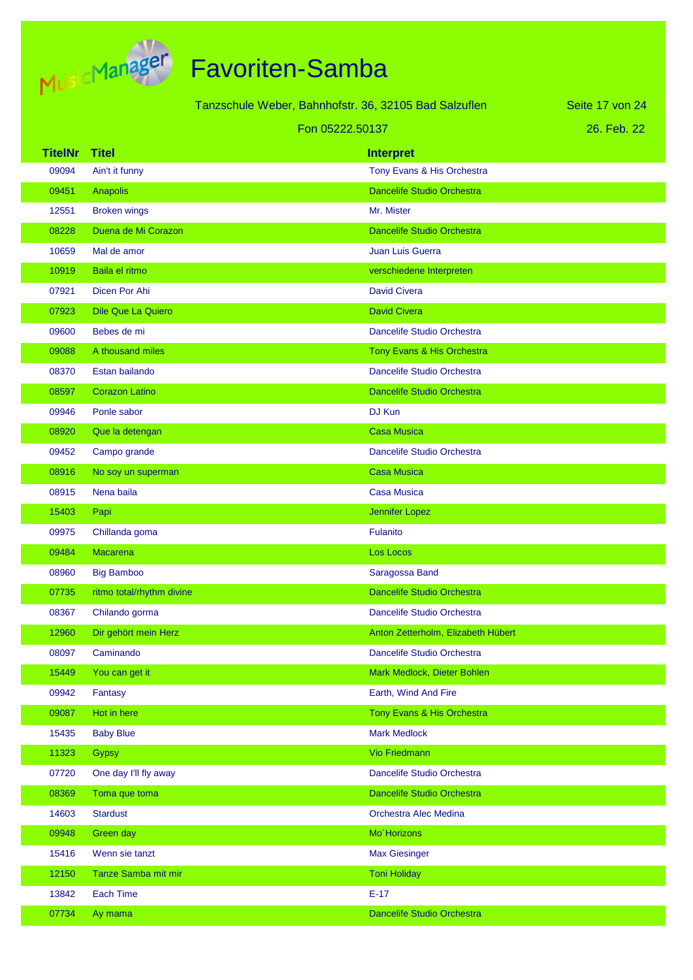

|                |                           | Tanzschule Weber, Bahnhofstr. 36, 32105 Bad Salzuflen |                                    | Seite 17 von 24 |
|----------------|---------------------------|-------------------------------------------------------|------------------------------------|-----------------|
|                |                           | Fon 05222.50137                                       |                                    | 26. Feb. 22     |
| <b>TitelNr</b> | <b>Titel</b>              |                                                       | <b>Interpret</b>                   |                 |
| 09094          | Ain't it funny            |                                                       | Tony Evans & His Orchestra         |                 |
| 09451          | Anapolis                  |                                                       | Dancelife Studio Orchestra         |                 |
| 12551          | <b>Broken wings</b>       |                                                       | Mr. Mister                         |                 |
| 08228          | Duena de Mi Corazon       |                                                       | <b>Dancelife Studio Orchestra</b>  |                 |
| 10659          | Mal de amor               |                                                       | <b>Juan Luis Guerra</b>            |                 |
| 10919          | Baila el ritmo            |                                                       | verschiedene Interpreten           |                 |
| 07921          | Dicen Por Ahi             |                                                       | <b>David Civera</b>                |                 |
| 07923          | <b>Dile Que La Quiero</b> |                                                       | <b>David Civera</b>                |                 |
| 09600          | Bebes de mi               |                                                       | Dancelife Studio Orchestra         |                 |
| 09088          | A thousand miles          |                                                       | Tony Evans & His Orchestra         |                 |
| 08370          | Estan bailando            |                                                       | Dancelife Studio Orchestra         |                 |
| 08597          | <b>Corazon Latino</b>     |                                                       | <b>Dancelife Studio Orchestra</b>  |                 |
| 09946          | Ponle sabor               |                                                       | DJ Kun                             |                 |
| 08920          | Que la detengan           |                                                       | <b>Casa Musica</b>                 |                 |
| 09452          | Campo grande              |                                                       | Dancelife Studio Orchestra         |                 |
| 08916          | No soy un superman        |                                                       | <b>Casa Musica</b>                 |                 |
| 08915          | Nena baila                |                                                       | <b>Casa Musica</b>                 |                 |
| 15403          | Papi                      |                                                       | Jennifer Lopez                     |                 |
| 09975          | Chillanda goma            |                                                       | Fulanito                           |                 |
| 09484          | <b>Macarena</b>           |                                                       | Los Locos                          |                 |
| 08960          | <b>Big Bamboo</b>         |                                                       | Saragossa Band                     |                 |
| 07735          | ritmo total/rhythm divine |                                                       | <b>Dancelife Studio Orchestra</b>  |                 |
| 08367          | Chilando gorma            |                                                       | Dancelife Studio Orchestra         |                 |
| 12960          | Dir gehört mein Herz      |                                                       | Anton Zetterholm, Elizabeth Hübert |                 |
| 08097          | Caminando                 |                                                       | Dancelife Studio Orchestra         |                 |
| 15449          | You can get it            |                                                       | Mark Medlock, Dieter Bohlen        |                 |
| 09942          | Fantasy                   |                                                       | Earth, Wind And Fire               |                 |
| 09087          | Hot in here               |                                                       | Tony Evans & His Orchestra         |                 |
| 15435          | <b>Baby Blue</b>          |                                                       | <b>Mark Medlock</b>                |                 |
| 11323          | <b>Gypsy</b>              |                                                       | <b>Vio Friedmann</b>               |                 |
| 07720          | One day I'll fly away     |                                                       | Dancelife Studio Orchestra         |                 |
| 08369          | Toma que toma             |                                                       | <b>Dancelife Studio Orchestra</b>  |                 |
| 14603          | <b>Stardust</b>           |                                                       | Orchestra Alec Medina              |                 |
| 09948          | Green day                 |                                                       | Mo'Horizons                        |                 |
| 15416          | Wenn sie tanzt            |                                                       | <b>Max Giesinger</b>               |                 |
| 12150          | Tanze Samba mit mir       |                                                       | <b>Toni Holiday</b>                |                 |
| 13842          | <b>Each Time</b>          |                                                       | $E-17$                             |                 |
| 07734          | Ay mama                   |                                                       | Dancelife Studio Orchestra         |                 |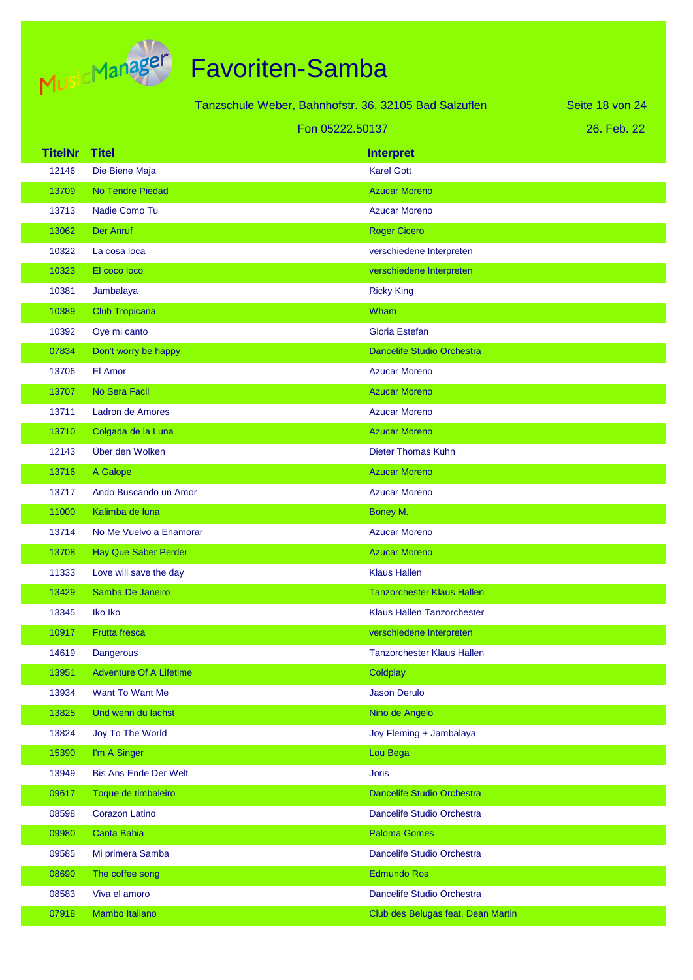

|                |                                | Tanzschule Weber, Bahnhofstr. 36, 32105 Bad Salzuflen | Seite 18 von 24 |
|----------------|--------------------------------|-------------------------------------------------------|-----------------|
|                |                                | Fon 05222.50137                                       | 26. Feb. 22     |
| <b>TitelNr</b> | <b>Titel</b>                   | <b>Interpret</b>                                      |                 |
| 12146          | Die Biene Maja                 | <b>Karel Gott</b>                                     |                 |
| 13709          | No Tendre Piedad               | <b>Azucar Moreno</b>                                  |                 |
| 13713          | Nadie Como Tu                  | <b>Azucar Moreno</b>                                  |                 |
| 13062          | <b>Der Anruf</b>               | <b>Roger Cicero</b>                                   |                 |
| 10322          | La cosa loca                   | verschiedene Interpreten                              |                 |
| 10323          | El coco loco                   | verschiedene Interpreten                              |                 |
| 10381          | Jambalaya                      | <b>Ricky King</b>                                     |                 |
| 10389          | <b>Club Tropicana</b>          | Wham                                                  |                 |
| 10392          | Oye mi canto                   | Gloria Estefan                                        |                 |
| 07834          | Don't worry be happy           | <b>Dancelife Studio Orchestra</b>                     |                 |
| 13706          | El Amor                        | <b>Azucar Moreno</b>                                  |                 |
| 13707          | No Sera Facil                  | <b>Azucar Moreno</b>                                  |                 |
| 13711          | <b>Ladron de Amores</b>        | <b>Azucar Moreno</b>                                  |                 |
| 13710          | Colgada de la Luna             | <b>Azucar Moreno</b>                                  |                 |
| 12143          | Über den Wolken                | <b>Dieter Thomas Kuhn</b>                             |                 |
| 13716          | A Galope                       | <b>Azucar Moreno</b>                                  |                 |
| 13717          | Ando Buscando un Amor          | <b>Azucar Moreno</b>                                  |                 |
| 11000          | Kalimba de luna                | Boney M.                                              |                 |
| 13714          | No Me Vuelvo a Enamorar        | <b>Azucar Moreno</b>                                  |                 |
| 13708          | <b>Hay Que Saber Perder</b>    | <b>Azucar Moreno</b>                                  |                 |
| 11333          | Love will save the day         | <b>Klaus Hallen</b>                                   |                 |
| 13429          | Samba De Janeiro               | <b>Tanzorchester Klaus Hallen</b>                     |                 |
| 13345          | Iko Iko                        | <b>Klaus Hallen Tanzorchester</b>                     |                 |
| 10917          | <b>Frutta fresca</b>           | verschiedene Interpreten                              |                 |
| 14619          | <b>Dangerous</b>               | <b>Tanzorchester Klaus Hallen</b>                     |                 |
| 13951          | <b>Adventure Of A Lifetime</b> | Coldplay                                              |                 |
| 13934          | Want To Want Me                | <b>Jason Derulo</b>                                   |                 |
| 13825          | Und wenn du lachst             | Nino de Angelo                                        |                 |
| 13824          | Joy To The World               | Joy Fleming + Jambalaya                               |                 |
| 15390          | I'm A Singer                   | Lou Bega                                              |                 |
| 13949          | <b>Bis Ans Ende Der Welt</b>   | <b>Joris</b>                                          |                 |
| 09617          | Toque de timbaleiro            | Dancelife Studio Orchestra                            |                 |
| 08598          | <b>Corazon Latino</b>          | Dancelife Studio Orchestra                            |                 |
| 09980          | Canta Bahia                    | <b>Paloma Gomes</b>                                   |                 |
| 09585          | Mi primera Samba               | Dancelife Studio Orchestra                            |                 |
| 08690          | The coffee song                | <b>Edmundo Ros</b>                                    |                 |
| 08583          | Viva el amoro                  | Dancelife Studio Orchestra                            |                 |
| 07918          | Mambo Italiano                 | Club des Belugas feat. Dean Martin                    |                 |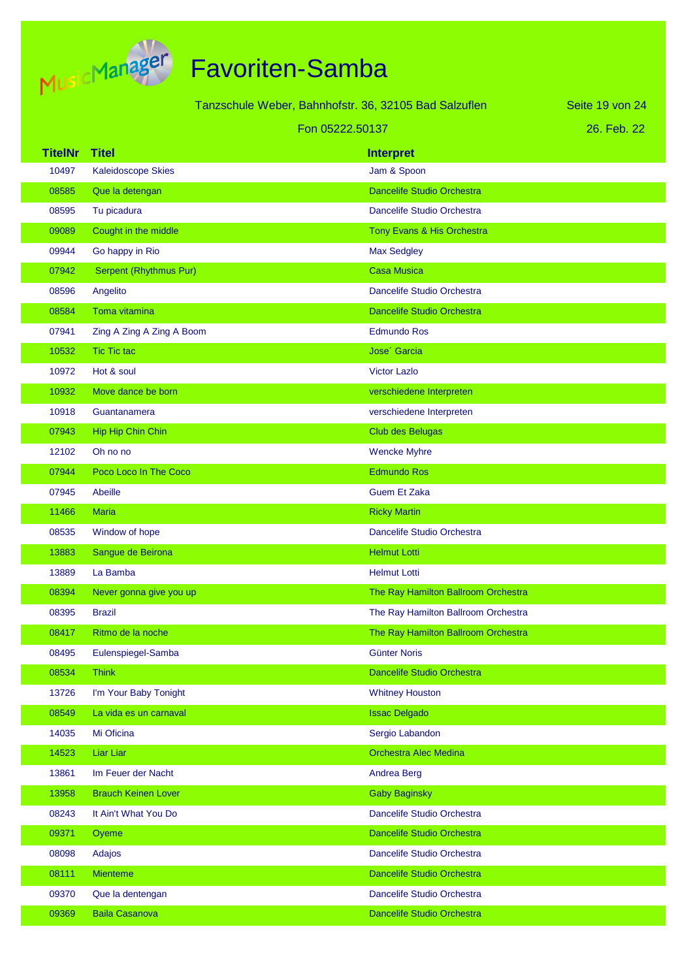

|                |                            | Tanzschule Weber, Bahnhofstr. 36, 32105 Bad Salzuflen | Seite 19 von 24 |
|----------------|----------------------------|-------------------------------------------------------|-----------------|
|                |                            | Fon 05222.50137                                       | 26. Feb. 22     |
| <b>TitelNr</b> | <b>Titel</b>               | <b>Interpret</b>                                      |                 |
| 10497          | <b>Kaleidoscope Skies</b>  | Jam & Spoon                                           |                 |
| 08585          | Que la detengan            | <b>Dancelife Studio Orchestra</b>                     |                 |
| 08595          | Tu picadura                | Dancelife Studio Orchestra                            |                 |
| 09089          | Cought in the middle       | Tony Evans & His Orchestra                            |                 |
| 09944          | Go happy in Rio            | Max Sedgley                                           |                 |
| 07942          | Serpent (Rhythmus Pur)     | <b>Casa Musica</b>                                    |                 |
| 08596          | Angelito                   | Dancelife Studio Orchestra                            |                 |
| 08584          | Toma vitamina              | <b>Dancelife Studio Orchestra</b>                     |                 |
| 07941          | Zing A Zing A Zing A Boom  | <b>Edmundo Ros</b>                                    |                 |
| 10532          | <b>Tic Tic tac</b>         | Jose <sup>'</sup> Garcia                              |                 |
| 10972          | Hot & soul                 | <b>Victor Lazlo</b>                                   |                 |
| 10932          | Move dance be born         | verschiedene Interpreten                              |                 |
| 10918          | Guantanamera               | verschiedene Interpreten                              |                 |
| 07943          | Hip Hip Chin Chin          | <b>Club des Belugas</b>                               |                 |
| 12102          | Oh no no                   | <b>Wencke Myhre</b>                                   |                 |
| 07944          | Poco Loco In The Coco      | <b>Edmundo Ros</b>                                    |                 |
| 07945          | Abeille                    | <b>Guem Et Zaka</b>                                   |                 |
| 11466          | <b>Maria</b>               | <b>Ricky Martin</b>                                   |                 |
| 08535          | Window of hope             | Dancelife Studio Orchestra                            |                 |
| 13883          | Sangue de Beirona          | <b>Helmut Lotti</b>                                   |                 |
| 13889          | La Bamba                   | <b>Helmut Lotti</b>                                   |                 |
| 08394          | Never gonna give you up    | The Ray Hamilton Ballroom Orchestra                   |                 |
| 08395          | <b>Brazil</b>              | The Ray Hamilton Ballroom Orchestra                   |                 |
| 08417          | Ritmo de la noche          | The Ray Hamilton Ballroom Orchestra                   |                 |
| 08495          | Eulenspiegel-Samba         | <b>Günter Noris</b>                                   |                 |
| 08534          | <b>Think</b>               | Dancelife Studio Orchestra                            |                 |
| 13726          | I'm Your Baby Tonight      | <b>Whitney Houston</b>                                |                 |
| 08549          | La vida es un carnaval     | <b>Issac Delgado</b>                                  |                 |
| 14035          | Mi Oficina                 | Sergio Labandon                                       |                 |
| 14523          | Liar Liar                  | Orchestra Alec Medina                                 |                 |
| 13861          | Im Feuer der Nacht         | <b>Andrea Berg</b>                                    |                 |
| 13958          | <b>Brauch Keinen Lover</b> | <b>Gaby Baginsky</b>                                  |                 |
| 08243          | It Ain't What You Do       | Dancelife Studio Orchestra                            |                 |
| 09371          | Oyeme                      | Dancelife Studio Orchestra                            |                 |
| 08098          | Adajos                     | Dancelife Studio Orchestra                            |                 |
| 08111          | <b>Mienteme</b>            | Dancelife Studio Orchestra                            |                 |
| 09370          | Que la dentengan           | Dancelife Studio Orchestra                            |                 |
| 09369          | <b>Baila Casanova</b>      | Dancelife Studio Orchestra                            |                 |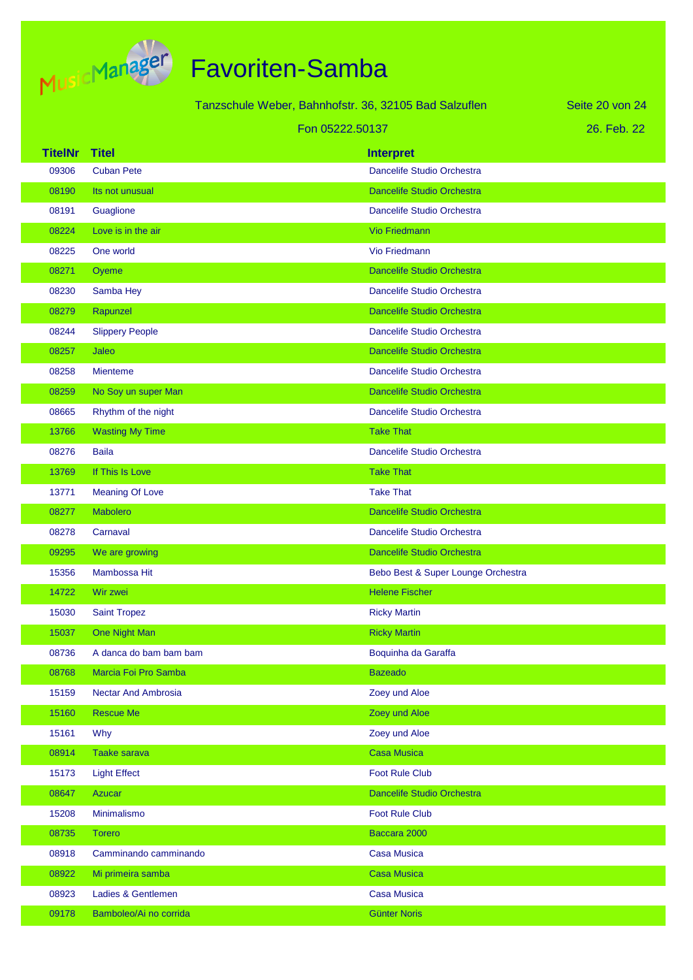

|                |                            | Tanzschule Weber, Bahnhofstr. 36, 32105 Bad Salzuflen | Seite 20 von 24 |
|----------------|----------------------------|-------------------------------------------------------|-----------------|
|                |                            | Fon 05222.50137                                       | 26. Feb. 22     |
| <b>TitelNr</b> | <b>Titel</b>               | <b>Interpret</b>                                      |                 |
| 09306          | <b>Cuban Pete</b>          | Dancelife Studio Orchestra                            |                 |
| 08190          | Its not unusual            | <b>Dancelife Studio Orchestra</b>                     |                 |
| 08191          | Guaglione                  | Dancelife Studio Orchestra                            |                 |
| 08224          | Love is in the air         | <b>Vio Friedmann</b>                                  |                 |
| 08225          | One world                  | Vio Friedmann                                         |                 |
| 08271          | Oyeme                      | <b>Dancelife Studio Orchestra</b>                     |                 |
| 08230          | Samba Hey                  | Dancelife Studio Orchestra                            |                 |
| 08279          | Rapunzel                   | <b>Dancelife Studio Orchestra</b>                     |                 |
| 08244          | <b>Slippery People</b>     | Dancelife Studio Orchestra                            |                 |
| 08257          | Jaleo                      | Dancelife Studio Orchestra                            |                 |
| 08258          | <b>Mienteme</b>            | Dancelife Studio Orchestra                            |                 |
| 08259          | No Soy un super Man        | <b>Dancelife Studio Orchestra</b>                     |                 |
| 08665          | Rhythm of the night        | Dancelife Studio Orchestra                            |                 |
| 13766          | <b>Wasting My Time</b>     | <b>Take That</b>                                      |                 |
| 08276          | <b>Baila</b>               | Dancelife Studio Orchestra                            |                 |
| 13769          | If This Is Love            | <b>Take That</b>                                      |                 |
| 13771          | <b>Meaning Of Love</b>     | <b>Take That</b>                                      |                 |
| 08277          | <b>Mabolero</b>            | <b>Dancelife Studio Orchestra</b>                     |                 |
| 08278          | Carnaval                   | Dancelife Studio Orchestra                            |                 |
| 09295          | We are growing             | Dancelife Studio Orchestra                            |                 |
| 15356          | Mambossa Hit               | Bebo Best & Super Lounge Orchestra                    |                 |
| 14722          | Wir zwei                   | <b>Helene Fischer</b>                                 |                 |
| 15030          | <b>Saint Tropez</b>        | <b>Ricky Martin</b>                                   |                 |
| 15037          | One Night Man              | <b>Ricky Martin</b>                                   |                 |
| 08736          | A danca do bam bam bam     | Boquinha da Garaffa                                   |                 |
| 08768          | Marcia Foi Pro Samba       | <b>Bazeado</b>                                        |                 |
| 15159          | <b>Nectar And Ambrosia</b> | Zoey und Aloe                                         |                 |
| 15160          | <b>Rescue Me</b>           | Zoey und Aloe                                         |                 |
| 15161          | Why                        | Zoey und Aloe                                         |                 |
| 08914          | <b>Taake sarava</b>        | <b>Casa Musica</b>                                    |                 |
| 15173          | <b>Light Effect</b>        | <b>Foot Rule Club</b>                                 |                 |
| 08647          | <b>Azucar</b>              | Dancelife Studio Orchestra                            |                 |
| 15208          | Minimalismo                | <b>Foot Rule Club</b>                                 |                 |
| 08735          | <b>Torero</b>              | Baccara 2000                                          |                 |
| 08918          | Camminando camminando      | <b>Casa Musica</b>                                    |                 |
| 08922          | Mi primeira samba          | <b>Casa Musica</b>                                    |                 |
| 08923          | Ladies & Gentlemen         | <b>Casa Musica</b>                                    |                 |
| 09178          | Bamboleo/Ai no corrida     | <b>Günter Noris</b>                                   |                 |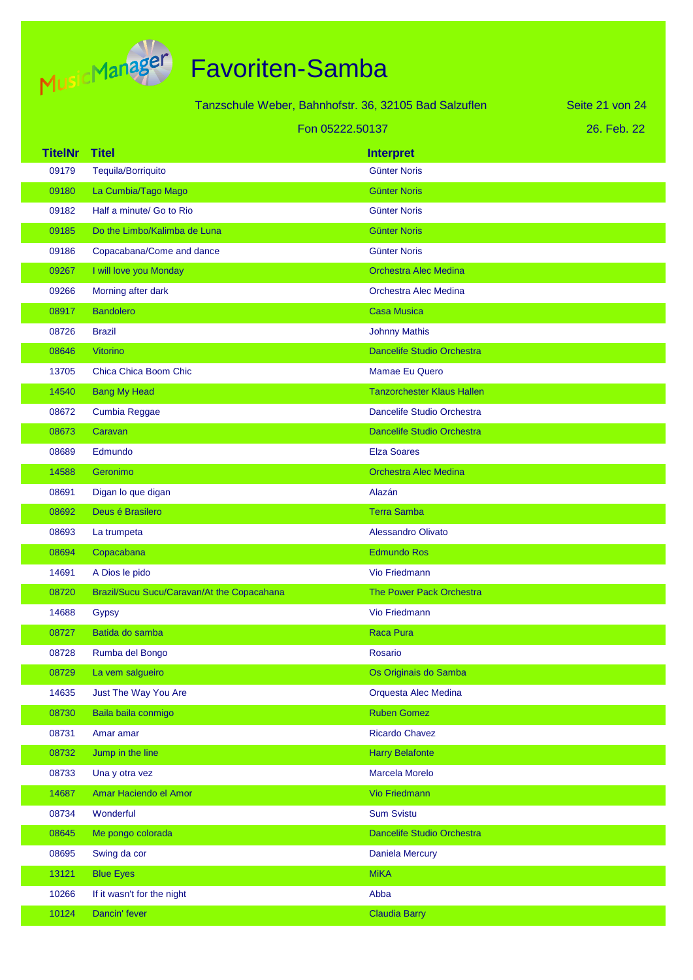

|                 |                                            | Tanzschule Weber, Bahnhofstr. 36, 32105 Bad Salzuflen | Seite 21 von 24 |
|-----------------|--------------------------------------------|-------------------------------------------------------|-----------------|
| Fon 05222.50137 |                                            |                                                       | 26. Feb. 22     |
| <b>TitelNr</b>  | <b>Titel</b>                               | <b>Interpret</b>                                      |                 |
| 09179           | Tequila/Borriquito                         | <b>Günter Noris</b>                                   |                 |
| 09180           | La Cumbia/Tago Mago                        | <b>Günter Noris</b>                                   |                 |
| 09182           | Half a minute/ Go to Rio                   | <b>Günter Noris</b>                                   |                 |
| 09185           | Do the Limbo/Kalimba de Luna               | <b>Günter Noris</b>                                   |                 |
| 09186           | Copacabana/Come and dance                  | <b>Günter Noris</b>                                   |                 |
| 09267           | I will love you Monday                     | <b>Orchestra Alec Medina</b>                          |                 |
| 09266           | Morning after dark                         | Orchestra Alec Medina                                 |                 |
| 08917           | <b>Bandolero</b>                           | <b>Casa Musica</b>                                    |                 |
| 08726           | <b>Brazil</b>                              | <b>Johnny Mathis</b>                                  |                 |
| 08646           | Vitorino                                   | <b>Dancelife Studio Orchestra</b>                     |                 |
| 13705           | Chica Chica Boom Chic                      | Mamae Eu Quero                                        |                 |
| 14540           | <b>Bang My Head</b>                        | <b>Tanzorchester Klaus Hallen</b>                     |                 |
| 08672           | Cumbia Reggae                              | Dancelife Studio Orchestra                            |                 |
| 08673           | Caravan                                    | <b>Dancelife Studio Orchestra</b>                     |                 |
| 08689           | Edmundo                                    | <b>Elza Soares</b>                                    |                 |
| 14588           | Geronimo                                   | <b>Orchestra Alec Medina</b>                          |                 |
| 08691           | Digan lo que digan                         | Alazán                                                |                 |
| 08692           | Deus é Brasilero                           | <b>Terra Samba</b>                                    |                 |
| 08693           | La trumpeta                                | <b>Alessandro Olivato</b>                             |                 |
| 08694           | Copacabana                                 | <b>Edmundo Ros</b>                                    |                 |
| 14691           | A Dios le pido                             | Vio Friedmann                                         |                 |
| 08720           | Brazil/Sucu Sucu/Caravan/At the Copacahana | The Power Pack Orchestra                              |                 |
| 14688           | Gypsy                                      | <b>Vio Friedmann</b>                                  |                 |
| 08727           | Batida do samba                            | <b>Raca Pura</b>                                      |                 |
| 08728           | Rumba del Bongo                            | <b>Rosario</b>                                        |                 |
| 08729           | La vem salgueiro                           | Os Originais do Samba                                 |                 |
| 14635           | Just The Way You Are                       | Orquesta Alec Medina                                  |                 |
| 08730           | Baila baila conmigo                        | <b>Ruben Gomez</b>                                    |                 |
| 08731           | Amar amar                                  | <b>Ricardo Chavez</b>                                 |                 |
| 08732           | Jump in the line                           | <b>Harry Belafonte</b>                                |                 |
| 08733           | Una y otra vez                             | Marcela Morelo                                        |                 |
| 14687           | Amar Haciendo el Amor                      | <b>Vio Friedmann</b>                                  |                 |
| 08734           | Wonderful                                  | <b>Sum Svistu</b>                                     |                 |
| 08645           | Me pongo colorada                          | Dancelife Studio Orchestra                            |                 |
| 08695           | Swing da cor                               | <b>Daniela Mercury</b>                                |                 |
| 13121           | <b>Blue Eyes</b>                           | <b>MiKA</b>                                           |                 |
| 10266           | If it wasn't for the night                 | Abba                                                  |                 |
| 10124           | Dancin' fever                              | <b>Claudia Barry</b>                                  |                 |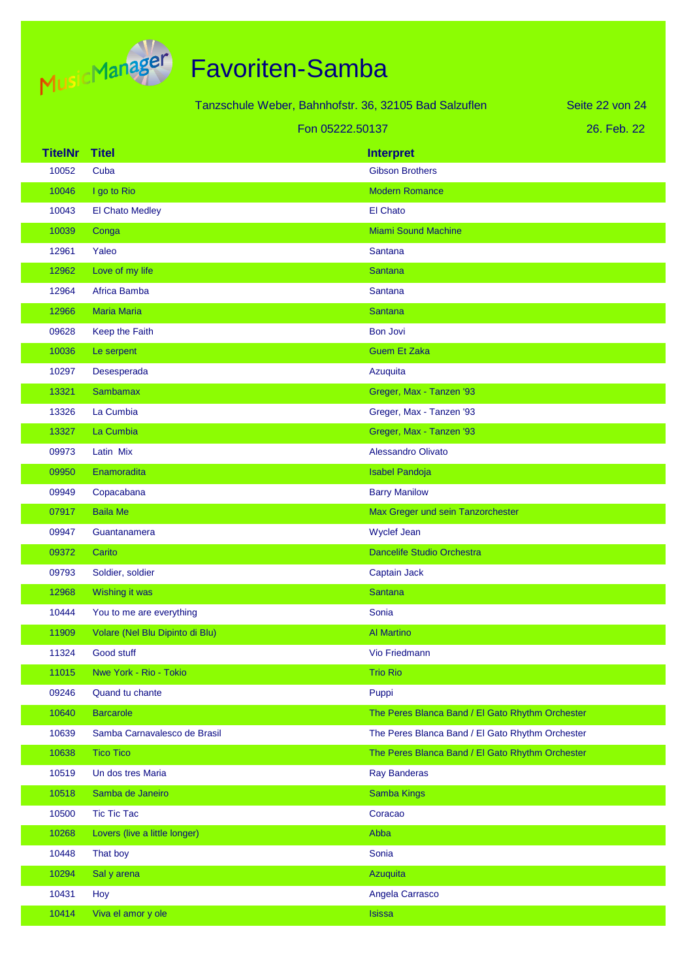

|                |                                 | Tanzschule Weber, Bahnhofstr. 36, 32105 Bad Salzuflen |                                                  | Seite 22 von 24 |
|----------------|---------------------------------|-------------------------------------------------------|--------------------------------------------------|-----------------|
|                |                                 | Fon 05222.50137                                       |                                                  | 26. Feb. 22     |
| <b>TitelNr</b> | <b>Titel</b>                    |                                                       | <b>Interpret</b>                                 |                 |
| 10052          | Cuba                            |                                                       | <b>Gibson Brothers</b>                           |                 |
| 10046          | I go to Rio                     |                                                       | <b>Modern Romance</b>                            |                 |
| 10043          | El Chato Medley                 |                                                       | El Chato                                         |                 |
| 10039          | Conga                           |                                                       | <b>Miami Sound Machine</b>                       |                 |
| 12961          | Yaleo                           |                                                       | Santana                                          |                 |
| 12962          | Love of my life                 |                                                       | <b>Santana</b>                                   |                 |
| 12964          | Africa Bamba                    |                                                       | Santana                                          |                 |
| 12966          | <b>Maria Maria</b>              |                                                       | <b>Santana</b>                                   |                 |
| 09628          | Keep the Faith                  |                                                       | <b>Bon Jovi</b>                                  |                 |
| 10036          | Le serpent                      |                                                       | <b>Guem Et Zaka</b>                              |                 |
| 10297          | Desesperada                     |                                                       | Azuquita                                         |                 |
| 13321          | <b>Sambamax</b>                 |                                                       | Greger, Max - Tanzen '93                         |                 |
| 13326          | La Cumbia                       |                                                       | Greger, Max - Tanzen '93                         |                 |
| 13327          | La Cumbia                       |                                                       | Greger, Max - Tanzen '93                         |                 |
| 09973          | Latin Mix                       |                                                       | <b>Alessandro Olivato</b>                        |                 |
| 09950          | Enamoradita                     |                                                       | <b>Isabel Pandoja</b>                            |                 |
| 09949          | Copacabana                      |                                                       | <b>Barry Manilow</b>                             |                 |
| 07917          | <b>Baila Me</b>                 |                                                       | Max Greger und sein Tanzorchester                |                 |
| 09947          | Guantanamera                    |                                                       | <b>Wyclef Jean</b>                               |                 |
| 09372          | Carito                          |                                                       | <b>Dancelife Studio Orchestra</b>                |                 |
| 09793          | Soldier, soldier                |                                                       | Captain Jack                                     |                 |
| 12968          | Wishing it was                  |                                                       | <b>Santana</b>                                   |                 |
| 10444          | You to me are everything        |                                                       | Sonia                                            |                 |
| 11909          | Volare (Nel Blu Dipinto di Blu) |                                                       | <b>Al Martino</b>                                |                 |
| 11324          | Good stuff                      |                                                       | Vio Friedmann                                    |                 |
| 11015          | Nwe York - Rio - Tokio          |                                                       | <b>Trio Rio</b>                                  |                 |
| 09246          | Quand tu chante                 |                                                       | Puppi                                            |                 |
| 10640          | <b>Barcarole</b>                |                                                       | The Peres Blanca Band / El Gato Rhythm Orchester |                 |
| 10639          | Samba Carnavalesco de Brasil    |                                                       | The Peres Blanca Band / El Gato Rhythm Orchester |                 |
| 10638          | <b>Tico Tico</b>                |                                                       | The Peres Blanca Band / El Gato Rhythm Orchester |                 |
| 10519          | Un dos tres Maria               |                                                       | <b>Ray Banderas</b>                              |                 |
| 10518          | Samba de Janeiro                |                                                       | <b>Samba Kings</b>                               |                 |
| 10500          | <b>Tic Tic Tac</b>              |                                                       | Coracao                                          |                 |
| 10268          | Lovers (live a little longer)   |                                                       | Abba                                             |                 |
| 10448          | That boy                        |                                                       | Sonia                                            |                 |
| 10294          | Sal y arena                     |                                                       | Azuquita                                         |                 |
| 10431          | Hoy                             |                                                       | Angela Carrasco                                  |                 |
| 10414          | Viva el amor y ole              |                                                       | <b>Isissa</b>                                    |                 |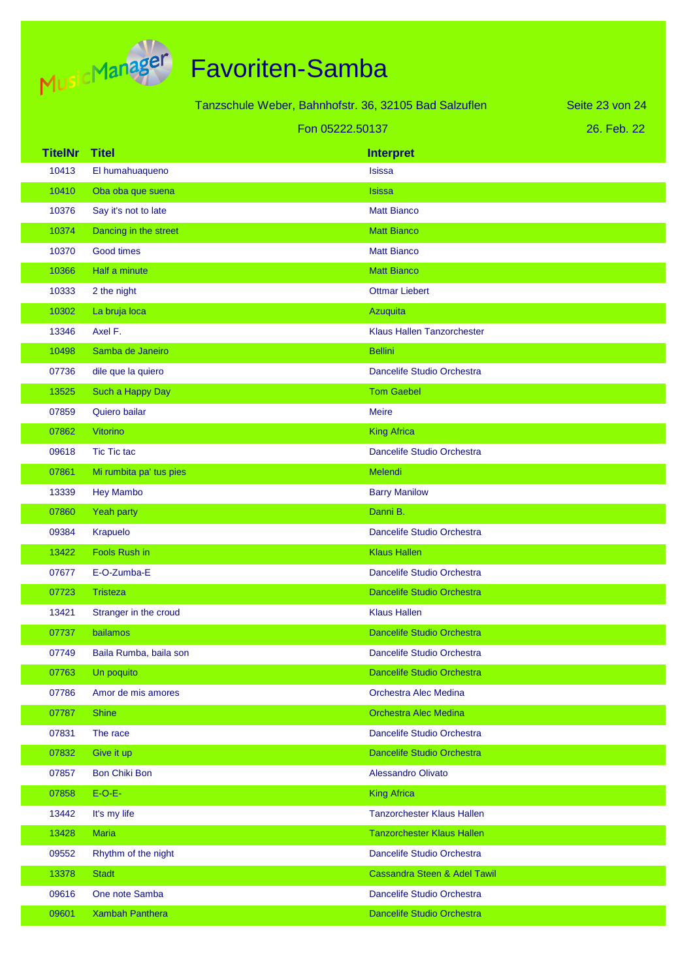

| <u>rju-</u>    | <b>Service</b>                                   |                                                       |                                   |                 |
|----------------|--------------------------------------------------|-------------------------------------------------------|-----------------------------------|-----------------|
|                |                                                  | Tanzschule Weber, Bahnhofstr. 36, 32105 Bad Salzuflen |                                   | Seite 23 von 24 |
|                |                                                  | Fon 05222.50137                                       |                                   | 26. Feb. 22     |
| <b>TitelNr</b> | <b>Titel</b>                                     |                                                       | <b>Interpret</b>                  |                 |
| 10413          | El humahuaqueno                                  |                                                       | <b>Isissa</b>                     |                 |
| 10410          | Oba oba que suena                                |                                                       | <b>Isissa</b>                     |                 |
| 10376          | Say it's not to late                             |                                                       | <b>Matt Bianco</b>                |                 |
| 10374          | Dancing in the street                            |                                                       | <b>Matt Bianco</b>                |                 |
| 10370          | Good times                                       |                                                       | <b>Matt Bianco</b>                |                 |
| 10366          | Half a minute                                    |                                                       | <b>Matt Bianco</b>                |                 |
| 10333          | 2 the night                                      |                                                       | <b>Ottmar Liebert</b>             |                 |
| 10302          | La bruja loca                                    |                                                       | Azuquita                          |                 |
| 13346          | Axel F.                                          |                                                       | <b>Klaus Hallen Tanzorchester</b> |                 |
| 10498          | Samba de Janeiro                                 |                                                       | <b>Bellini</b>                    |                 |
| 07736          | dile que la quiero                               |                                                       | Dancelife Studio Orchestra        |                 |
| 13525          | Such a Happy Day                                 |                                                       | <b>Tom Gaebel</b>                 |                 |
| 07859          | Quiero bailar                                    |                                                       | <b>Meire</b>                      |                 |
| 07862          | <b>Vitorino</b>                                  |                                                       | <b>King Africa</b>                |                 |
| 09618          | <b>Tic Tic tac</b>                               |                                                       | Dancelife Studio Orchestra        |                 |
|                | <b>State College</b><br><b>Contract Contract</b> |                                                       | and the company of the company of |                 |

| 10370 | Good times              | <b>Matt Bianco</b>                      |
|-------|-------------------------|-----------------------------------------|
| 10366 | Half a minute           | <b>Matt Bianco</b>                      |
| 10333 | 2 the night             | <b>Ottmar Liebert</b>                   |
| 10302 | La bruja loca           | Azuquita                                |
| 13346 | Axel F.                 | Klaus Hallen Tanzorchester              |
| 10498 | Samba de Janeiro        | <b>Bellini</b>                          |
| 07736 | dile que la quiero      | Dancelife Studio Orchestra              |
| 13525 | Such a Happy Day        | <b>Tom Gaebel</b>                       |
| 07859 | Quiero bailar           | <b>Meire</b>                            |
| 07862 | Vitorino                | <b>King Africa</b>                      |
| 09618 | <b>Tic Tic tac</b>      | Dancelife Studio Orchestra              |
| 07861 | Mi rumbita pa' tus pies | Melendi                                 |
| 13339 | <b>Hey Mambo</b>        | <b>Barry Manilow</b>                    |
| 07860 | Yeah party              | Danni B.                                |
| 09384 | Krapuelo                | Dancelife Studio Orchestra              |
| 13422 | <b>Fools Rush in</b>    | <b>Klaus Hallen</b>                     |
| 07677 | E-O-Zumba-E             | Dancelife Studio Orchestra              |
| 07723 | <b>Tristeza</b>         | <b>Dancelife Studio Orchestra</b>       |
| 13421 | Stranger in the croud   | <b>Klaus Hallen</b>                     |
| 07737 | bailamos                | <b>Dancelife Studio Orchestra</b>       |
| 07749 | Baila Rumba, baila son  | Dancelife Studio Orchestra              |
| 07763 | Un poquito              | Dancelife Studio Orchestra              |
| 07786 | Amor de mis amores      | Orchestra Alec Medina                   |
| 07787 | <b>Shine</b>            | <b>Orchestra Alec Medina</b>            |
| 07831 | The race                | Dancelife Studio Orchestra              |
| 07832 | Give it up              | Dancelife Studio Orchestra              |
| 07857 | <b>Bon Chiki Bon</b>    | Alessandro Olivato                      |
| 07858 | $E-O-E-$                | <b>King Africa</b>                      |
| 13442 | It's my life            | <b>Tanzorchester Klaus Hallen</b>       |
| 13428 | <b>Maria</b>            | <b>Tanzorchester Klaus Hallen</b>       |
| 09552 | Rhythm of the night     | Dancelife Studio Orchestra              |
| 13378 | <b>Stadt</b>            | <b>Cassandra Steen &amp; Adel Tawil</b> |
| 09616 | One note Samba          | Dancelife Studio Orchestra              |
| 09601 | <b>Xambah Panthera</b>  | Dancelife Studio Orchestra              |